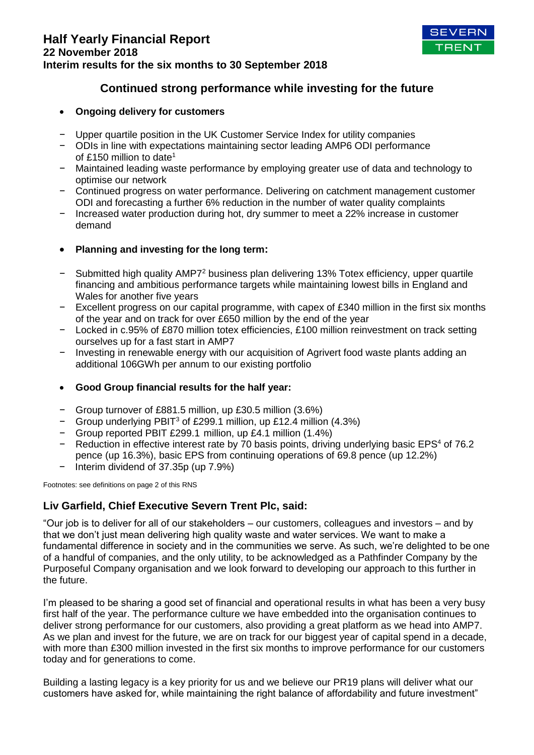

# **Continued strong performance while investing for the future**

## **Ongoing delivery for customers**

- − Upper quartile position in the UK Customer Service Index for utility companies
- − ODIs in line with expectations maintaining sector leading AMP6 ODI performance of £150 million to date<sup>1</sup>
- − Maintained leading waste performance by employing greater use of data and technology to optimise our network
- − Continued progress on water performance. Delivering on catchment management customer ODI and forecasting a further 6% reduction in the number of water quality complaints
- − Increased water production during hot, dry summer to meet a 22% increase in customer demand
- **Planning and investing for the long term:**
- − Submitted high quality AMP7<sup>2</sup> business plan delivering 13% Totex efficiency, upper quartile financing and ambitious performance targets while maintaining lowest bills in England and Wales for another five years
- − Excellent progress on our capital programme, with capex of £340 million in the first six months of the year and on track for over £650 million by the end of the year
- − Locked in c.95% of £870 million totex efficiencies, £100 million reinvestment on track setting ourselves up for a fast start in AMP7
- Investing in renewable energy with our acquisition of Agrivert food waste plants adding an additional 106GWh per annum to our existing portfolio
- **Good Group financial results for the half year:**
- − Group turnover of £881.5 million, up £30.5 million (3.6%)
- − Group underlying PBIT<sup>3</sup> of £299.1 million, up £12.4 million (4.3%)
- − Group reported PBIT £299.1 million, up £4.1 million (1.4%)
- − Reduction in effective interest rate by 70 basis points, driving underlying basic EPS<sup>4</sup> of 76.2 pence (up 16.3%), basic EPS from continuing operations of 69.8 pence (up 12.2%)
- − Interim dividend of 37.35p (up 7.9%)

Footnotes: see definitions on page 2 of this RNS

## **Liv Garfield, Chief Executive Severn Trent Plc, said:**

"Our job is to deliver for all of our stakeholders – our customers, colleagues and investors – and by that we don't just mean delivering high quality waste and water services. We want to make a fundamental difference in society and in the communities we serve. As such, we're delighted to be one of a handful of companies, and the only utility, to be acknowledged as a Pathfinder Company by the Purposeful Company organisation and we look forward to developing our approach to this further in the future.

I'm pleased to be sharing a good set of financial and operational results in what has been a very busy first half of the year. The performance culture we have embedded into the organisation continues to deliver strong performance for our customers, also providing a great platform as we head into AMP7. As we plan and invest for the future, we are on track for our biggest year of capital spend in a decade, with more than £300 million invested in the first six months to improve performance for our customers today and for generations to come.

Building a lasting legacy is a key priority for us and we believe our PR19 plans will deliver what our customers have asked for, while maintaining the right balance of affordability and future investment"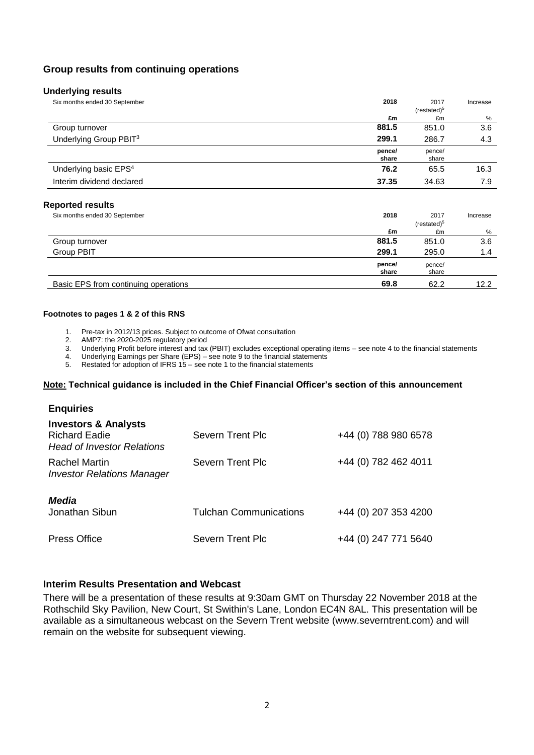## **Group results from continuing operations**

| 2018            | 2017<br>(resated) <sup>5</sup> | Increase |
|-----------------|--------------------------------|----------|
| £m              | £m                             | %        |
| 881.5           | 851.0                          | 3.6      |
| 299.1           | 286.7                          | 4.3      |
| pence/<br>share | pence/<br>share                |          |
| 76.2            | 65.5                           | 16.3     |
| 37.35           | 34.63                          | 7.9      |
|                 |                                |          |

### **Reported results**

| Six months ended 30 September        | 2018            | 2017<br>(resated) <sup>5</sup> | Increase |
|--------------------------------------|-----------------|--------------------------------|----------|
|                                      | £m              | £m                             | %        |
| Group turnover                       | 881.5           | 851.0                          | 3.6      |
| <b>Group PBIT</b>                    | 299.1           | 295.0                          | 1.4      |
|                                      | pence/<br>share | pence/<br>share                |          |
| Basic EPS from continuing operations | 69.8            | 62.2                           | 12.2     |

#### **Footnotes to pages 1 & 2 of this RNS**

1. Pre-tax in 2012/13 prices. Subject to outcome of Ofwat consultation

- 2. AMP7: the 2020-2025 regulatory period
- 3. Underlying Profit before interest and tax (PBIT) excludes exceptional operating items see note 4 to the financial statements

4. Underlying Earnings per Share (EPS) – see note 9 to the financial statements

5. Restated for adoption of IFRS 15 – see note 1 to the financial statements

#### **Note: Technical guidance is included in the Chief Financial Officer's section of this announcement**

| <b>Enquiries</b>                                                                             |                               |                      |
|----------------------------------------------------------------------------------------------|-------------------------------|----------------------|
| <b>Investors &amp; Analysts</b><br><b>Richard Eadie</b><br><b>Head of Investor Relations</b> | Severn Trent Plc              | +44 (0) 788 980 6578 |
| <b>Rachel Martin</b><br><b>Investor Relations Manager</b>                                    | Severn Trent Plc              | +44 (0) 782 462 4011 |
| Media<br>Jonathan Sibun                                                                      | <b>Tulchan Communications</b> | +44 (0) 207 353 4200 |
| <b>Press Office</b>                                                                          | Severn Trent Plc              | +44 (0) 247 771 5640 |

### **Interim Results Presentation and Webcast**

There will be a presentation of these results at 9:30am GMT on Thursday 22 November 2018 at the Rothschild Sky Pavilion, New Court, St Swithin's Lane, London EC4N 8AL. This presentation will be available as a simultaneous webcast on the Severn Trent website (www.severntrent.com) and will remain on the website for subsequent viewing.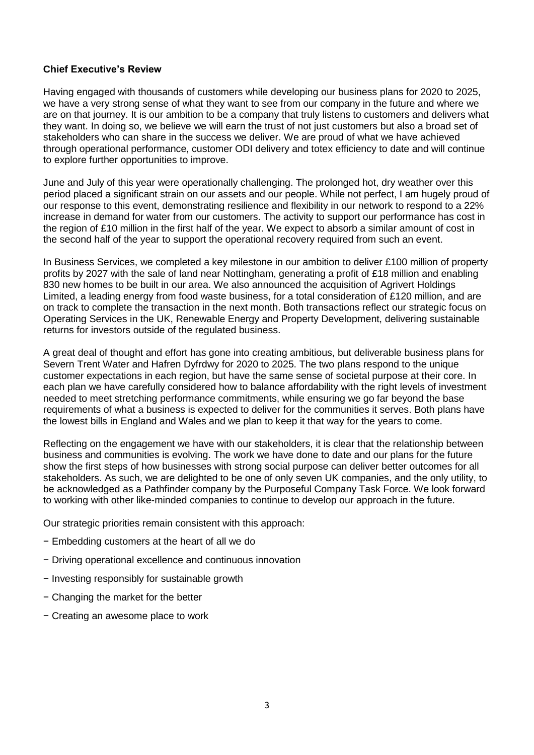## **Chief Executive's Review**

Having engaged with thousands of customers while developing our business plans for 2020 to 2025, we have a very strong sense of what they want to see from our company in the future and where we are on that journey. It is our ambition to be a company that truly listens to customers and delivers what they want. In doing so, we believe we will earn the trust of not just customers but also a broad set of stakeholders who can share in the success we deliver. We are proud of what we have achieved through operational performance, customer ODI delivery and totex efficiency to date and will continue to explore further opportunities to improve.

June and July of this year were operationally challenging. The prolonged hot, dry weather over this period placed a significant strain on our assets and our people. While not perfect, I am hugely proud of our response to this event, demonstrating resilience and flexibility in our network to respond to a 22% increase in demand for water from our customers. The activity to support our performance has cost in the region of £10 million in the first half of the year. We expect to absorb a similar amount of cost in the second half of the year to support the operational recovery required from such an event.

In Business Services, we completed a key milestone in our ambition to deliver £100 million of property profits by 2027 with the sale of land near Nottingham, generating a profit of £18 million and enabling 830 new homes to be built in our area. We also announced the acquisition of Agrivert Holdings Limited, a leading energy from food waste business, for a total consideration of £120 million, and are on track to complete the transaction in the next month. Both transactions reflect our strategic focus on Operating Services in the UK, Renewable Energy and Property Development, delivering sustainable returns for investors outside of the regulated business.

A great deal of thought and effort has gone into creating ambitious, but deliverable business plans for Severn Trent Water and Hafren Dyfrdwy for 2020 to 2025. The two plans respond to the unique customer expectations in each region, but have the same sense of societal purpose at their core. In each plan we have carefully considered how to balance affordability with the right levels of investment needed to meet stretching performance commitments, while ensuring we go far beyond the base requirements of what a business is expected to deliver for the communities it serves. Both plans have the lowest bills in England and Wales and we plan to keep it that way for the years to come.

Reflecting on the engagement we have with our stakeholders, it is clear that the relationship between business and communities is evolving. The work we have done to date and our plans for the future show the first steps of how businesses with strong social purpose can deliver better outcomes for all stakeholders. As such, we are delighted to be one of only seven UK companies, and the only utility, to be acknowledged as a Pathfinder company by the Purposeful Company Task Force. We look forward to working with other like-minded companies to continue to develop our approach in the future.

Our strategic priorities remain consistent with this approach:

- − Embedding customers at the heart of all we do
- − Driving operational excellence and continuous innovation
- − Investing responsibly for sustainable growth
- − Changing the market for the better
- − Creating an awesome place to work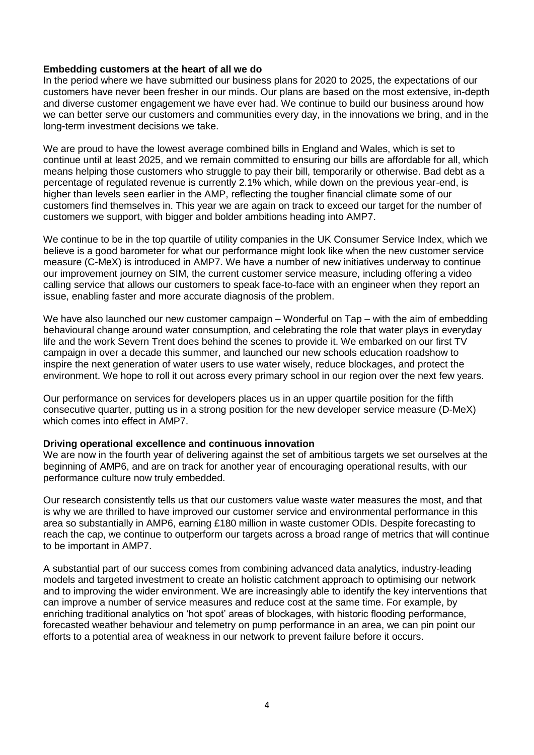## **Embedding customers at the heart of all we do**

In the period where we have submitted our business plans for 2020 to 2025, the expectations of our customers have never been fresher in our minds. Our plans are based on the most extensive, in-depth and diverse customer engagement we have ever had. We continue to build our business around how we can better serve our customers and communities every day, in the innovations we bring, and in the long-term investment decisions we take.

We are proud to have the lowest average combined bills in England and Wales, which is set to continue until at least 2025, and we remain committed to ensuring our bills are affordable for all, which means helping those customers who struggle to pay their bill, temporarily or otherwise. Bad debt as a percentage of regulated revenue is currently 2.1% which, while down on the previous year-end, is higher than levels seen earlier in the AMP, reflecting the tougher financial climate some of our customers find themselves in. This year we are again on track to exceed our target for the number of customers we support, with bigger and bolder ambitions heading into AMP7.

We continue to be in the top quartile of utility companies in the UK Consumer Service Index, which we believe is a good barometer for what our performance might look like when the new customer service measure (C-MeX) is introduced in AMP7. We have a number of new initiatives underway to continue our improvement journey on SIM, the current customer service measure, including offering a video calling service that allows our customers to speak face-to-face with an engineer when they report an issue, enabling faster and more accurate diagnosis of the problem.

We have also launched our new customer campaign – Wonderful on Tap – with the aim of embedding behavioural change around water consumption, and celebrating the role that water plays in everyday life and the work Severn Trent does behind the scenes to provide it. We embarked on our first TV campaign in over a decade this summer, and launched our new schools education roadshow to inspire the next generation of water users to use water wisely, reduce blockages, and protect the environment. We hope to roll it out across every primary school in our region over the next few years.

Our performance on services for developers places us in an upper quartile position for the fifth consecutive quarter, putting us in a strong position for the new developer service measure (D-MeX) which comes into effect in AMP7.

## **Driving operational excellence and continuous innovation**

We are now in the fourth year of delivering against the set of ambitious targets we set ourselves at the beginning of AMP6, and are on track for another year of encouraging operational results, with our performance culture now truly embedded.

Our research consistently tells us that our customers value waste water measures the most, and that is why we are thrilled to have improved our customer service and environmental performance in this area so substantially in AMP6, earning £180 million in waste customer ODIs. Despite forecasting to reach the cap, we continue to outperform our targets across a broad range of metrics that will continue to be important in AMP7.

A substantial part of our success comes from combining advanced data analytics, industry-leading models and targeted investment to create an holistic catchment approach to optimising our network and to improving the wider environment. We are increasingly able to identify the key interventions that can improve a number of service measures and reduce cost at the same time. For example, by enriching traditional analytics on 'hot spot' areas of blockages, with historic flooding performance, forecasted weather behaviour and telemetry on pump performance in an area, we can pin point our efforts to a potential area of weakness in our network to prevent failure before it occurs.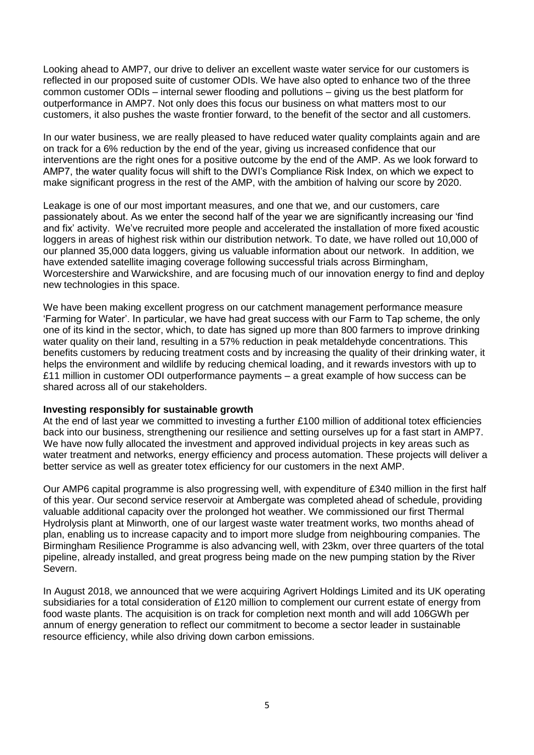Looking ahead to AMP7, our drive to deliver an excellent waste water service for our customers is reflected in our proposed suite of customer ODIs. We have also opted to enhance two of the three common customer ODIs – internal sewer flooding and pollutions – giving us the best platform for outperformance in AMP7. Not only does this focus our business on what matters most to our customers, it also pushes the waste frontier forward, to the benefit of the sector and all customers.

In our water business, we are really pleased to have reduced water quality complaints again and are on track for a 6% reduction by the end of the year, giving us increased confidence that our interventions are the right ones for a positive outcome by the end of the AMP. As we look forward to AMP7, the water quality focus will shift to the DWI's Compliance Risk Index, on which we expect to make significant progress in the rest of the AMP, with the ambition of halving our score by 2020.

Leakage is one of our most important measures, and one that we, and our customers, care passionately about. As we enter the second half of the year we are significantly increasing our 'find and fix' activity. We've recruited more people and accelerated the installation of more fixed acoustic loggers in areas of highest risk within our distribution network. To date, we have rolled out 10,000 of our planned 35,000 data loggers, giving us valuable information about our network. In addition, we have extended satellite imaging coverage following successful trials across Birmingham, Worcestershire and Warwickshire, and are focusing much of our innovation energy to find and deploy new technologies in this space.

We have been making excellent progress on our catchment management performance measure 'Farming for Water'. In particular, we have had great success with our Farm to Tap scheme, the only one of its kind in the sector, which, to date has signed up more than 800 farmers to improve drinking water quality on their land, resulting in a 57% reduction in peak metaldehyde concentrations. This benefits customers by reducing treatment costs and by increasing the quality of their drinking water, it helps the environment and wildlife by reducing chemical loading, and it rewards investors with up to £11 million in customer ODI outperformance payments – a great example of how success can be shared across all of our stakeholders.

## **Investing responsibly for sustainable growth**

At the end of last year we committed to investing a further £100 million of additional totex efficiencies back into our business, strengthening our resilience and setting ourselves up for a fast start in AMP7. We have now fully allocated the investment and approved individual projects in key areas such as water treatment and networks, energy efficiency and process automation. These projects will deliver a better service as well as greater totex efficiency for our customers in the next AMP.

Our AMP6 capital programme is also progressing well, with expenditure of £340 million in the first half of this year. Our second service reservoir at Ambergate was completed ahead of schedule, providing valuable additional capacity over the prolonged hot weather. We commissioned our first Thermal Hydrolysis plant at Minworth, one of our largest waste water treatment works, two months ahead of plan, enabling us to increase capacity and to import more sludge from neighbouring companies. The Birmingham Resilience Programme is also advancing well, with 23km, over three quarters of the total pipeline, already installed, and great progress being made on the new pumping station by the River Severn.

In August 2018, we announced that we were acquiring Agrivert Holdings Limited and its UK operating subsidiaries for a total consideration of £120 million to complement our current estate of energy from food waste plants. The acquisition is on track for completion next month and will add 106GWh per annum of energy generation to reflect our commitment to become a sector leader in sustainable resource efficiency, while also driving down carbon emissions.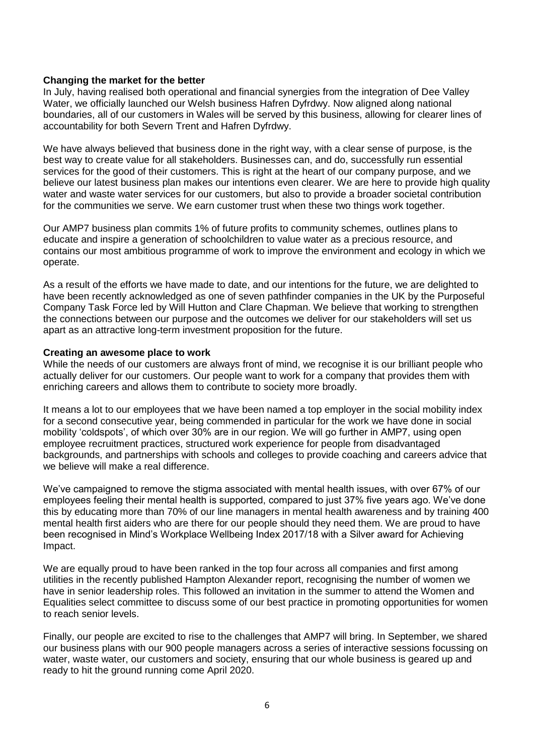### **Changing the market for the better**

In July, having realised both operational and financial synergies from the integration of Dee Valley Water, we officially launched our Welsh business Hafren Dyfrdwy. Now aligned along national boundaries, all of our customers in Wales will be served by this business, allowing for clearer lines of accountability for both Severn Trent and Hafren Dyfrdwy.

We have always believed that business done in the right way, with a clear sense of purpose, is the best way to create value for all stakeholders. Businesses can, and do, successfully run essential services for the good of their customers. This is right at the heart of our company purpose, and we believe our latest business plan makes our intentions even clearer. We are here to provide high quality water and waste water services for our customers, but also to provide a broader societal contribution for the communities we serve. We earn customer trust when these two things work together.

Our AMP7 business plan commits 1% of future profits to community schemes, outlines plans to educate and inspire a generation of schoolchildren to value water as a precious resource, and contains our most ambitious programme of work to improve the environment and ecology in which we operate.

As a result of the efforts we have made to date, and our intentions for the future, we are delighted to have been recently acknowledged as one of seven pathfinder companies in the UK by the Purposeful Company Task Force led by Will Hutton and Clare Chapman. We believe that working to strengthen the connections between our purpose and the outcomes we deliver for our stakeholders will set us apart as an attractive long-term investment proposition for the future.

### **Creating an awesome place to work**

While the needs of our customers are always front of mind, we recognise it is our brilliant people who actually deliver for our customers. Our people want to work for a company that provides them with enriching careers and allows them to contribute to society more broadly.

It means a lot to our employees that we have been named a top employer in the social mobility index for a second consecutive year, being commended in particular for the work we have done in social mobility 'coldspots', of which over 30% are in our region. We will go further in AMP7, using open employee recruitment practices, structured work experience for people from disadvantaged backgrounds, and partnerships with schools and colleges to provide coaching and careers advice that we believe will make a real difference.

We've campaigned to remove the stigma associated with mental health issues, with over 67% of our employees feeling their mental health is supported, compared to just 37% five years ago. We've done this by educating more than 70% of our line managers in mental health awareness and by training 400 mental health first aiders who are there for our people should they need them. We are proud to have been recognised in Mind's Workplace Wellbeing Index 2017/18 with a Silver award for Achieving Impact.

We are equally proud to have been ranked in the top four across all companies and first among utilities in the recently published Hampton Alexander report, recognising the number of women we have in senior leadership roles. This followed an invitation in the summer to attend the Women and Equalities select committee to discuss some of our best practice in promoting opportunities for women to reach senior levels.

Finally, our people are excited to rise to the challenges that AMP7 will bring. In September, we shared our business plans with our 900 people managers across a series of interactive sessions focussing on water, waste water, our customers and society, ensuring that our whole business is geared up and ready to hit the ground running come April 2020.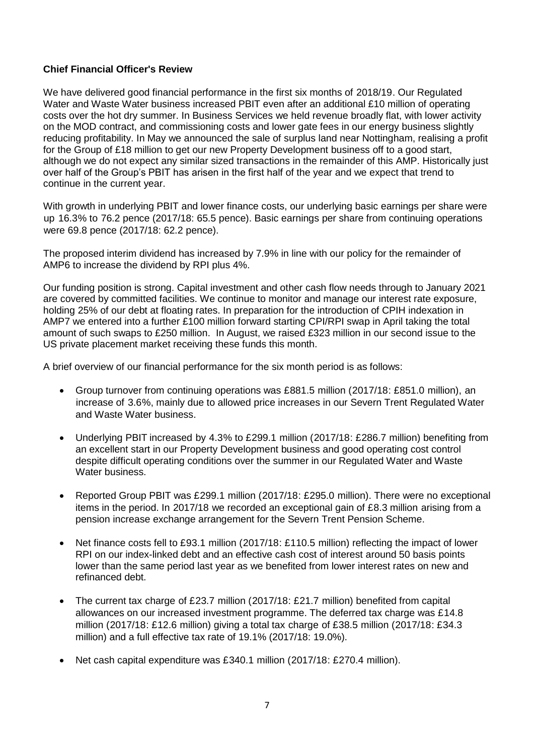## **Chief Financial Officer's Review**

We have delivered good financial performance in the first six months of 2018/19. Our Regulated Water and Waste Water business increased PBIT even after an additional £10 million of operating costs over the hot dry summer. In Business Services we held revenue broadly flat, with lower activity on the MOD contract, and commissioning costs and lower gate fees in our energy business slightly reducing profitability. In May we announced the sale of surplus land near Nottingham, realising a profit for the Group of £18 million to get our new Property Development business off to a good start, although we do not expect any similar sized transactions in the remainder of this AMP. Historically just over half of the Group's PBIT has arisen in the first half of the year and we expect that trend to continue in the current year.

With growth in underlying PBIT and lower finance costs, our underlying basic earnings per share were up 16.3% to 76.2 pence (2017/18: 65.5 pence). Basic earnings per share from continuing operations were 69.8 pence (2017/18: 62.2 pence).

The proposed interim dividend has increased by 7.9% in line with our policy for the remainder of AMP6 to increase the dividend by RPI plus 4%.

Our funding position is strong. Capital investment and other cash flow needs through to January 2021 are covered by committed facilities. We continue to monitor and manage our interest rate exposure, holding 25% of our debt at floating rates. In preparation for the introduction of CPIH indexation in AMP7 we entered into a further £100 million forward starting CPI/RPI swap in April taking the total amount of such swaps to £250 million. In August, we raised £323 million in our second issue to the US private placement market receiving these funds this month.

A brief overview of our financial performance for the six month period is as follows:

- Group turnover from continuing operations was £881.5 million (2017/18: £851.0 million), an increase of 3.6%, mainly due to allowed price increases in our Severn Trent Regulated Water and Waste Water business.
- Underlying PBIT increased by 4.3% to £299.1 million (2017/18: £286.7 million) benefiting from an excellent start in our Property Development business and good operating cost control despite difficult operating conditions over the summer in our Regulated Water and Waste Water business.
- Reported Group PBIT was £299.1 million (2017/18: £295.0 million). There were no exceptional items in the period. In 2017/18 we recorded an exceptional gain of £8.3 million arising from a pension increase exchange arrangement for the Severn Trent Pension Scheme.
- Net finance costs fell to £93.1 million (2017/18: £110.5 million) reflecting the impact of lower RPI on our index-linked debt and an effective cash cost of interest around 50 basis points lower than the same period last year as we benefited from lower interest rates on new and refinanced debt.
- The current tax charge of £23.7 million (2017/18: £21.7 million) benefited from capital allowances on our increased investment programme. The deferred tax charge was £14.8 million (2017/18: £12.6 million) giving a total tax charge of £38.5 million (2017/18: £34.3 million) and a full effective tax rate of 19.1% (2017/18: 19.0%).
- Net cash capital expenditure was £340.1 million (2017/18: £270.4 million).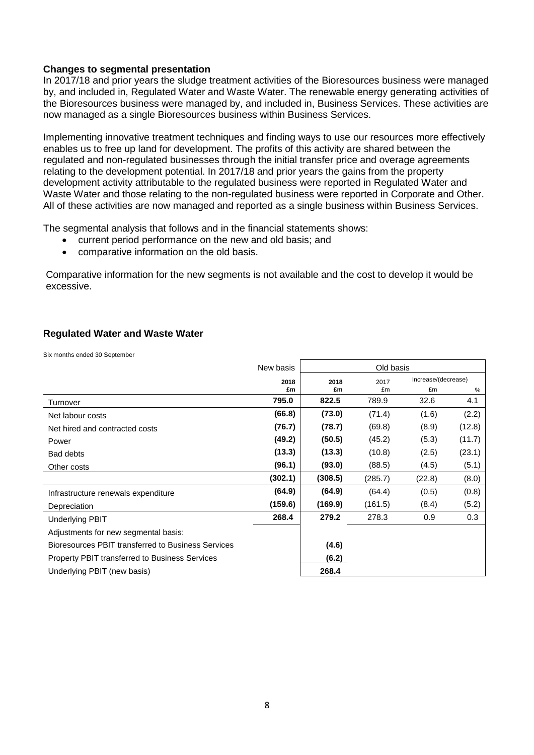### **Changes to segmental presentation**

In 2017/18 and prior years the sludge treatment activities of the Bioresources business were managed by, and included in, Regulated Water and Waste Water. The renewable energy generating activities of the Bioresources business were managed by, and included in, Business Services. These activities are now managed as a single Bioresources business within Business Services.

Implementing innovative treatment techniques and finding ways to use our resources more effectively enables us to free up land for development. The profits of this activity are shared between the regulated and non-regulated businesses through the initial transfer price and overage agreements relating to the development potential. In 2017/18 and prior years the gains from the property development activity attributable to the regulated business were reported in Regulated Water and Waste Water and those relating to the non-regulated business were reported in Corporate and Other. All of these activities are now managed and reported as a single business within Business Services.

The segmental analysis that follows and in the financial statements shows:

- current period performance on the new and old basis; and
- comparative information on the old basis.

Comparative information for the new segments is not available and the cost to develop it would be excessive.

## **Regulated Water and Waste Water**

Six months ended 30 September

|                                                       | New basis | Old basis |         |                     |        |
|-------------------------------------------------------|-----------|-----------|---------|---------------------|--------|
|                                                       | 2018      | 2018      | 2017    | Increase/(decrease) |        |
|                                                       | £m        | £m        | £m      | £m                  | %      |
| Turnover                                              | 795.0     | 822.5     | 789.9   | 32.6                | 4.1    |
| Net labour costs                                      | (66.8)    | (73.0)    | (71.4)  | (1.6)               | (2.2)  |
| Net hired and contracted costs                        | (76.7)    | (78.7)    | (69.8)  | (8.9)               | (12.8) |
| Power                                                 | (49.2)    | (50.5)    | (45.2)  | (5.3)               | (11.7) |
| Bad debts                                             | (13.3)    | (13.3)    | (10.8)  | (2.5)               | (23.1) |
| Other costs                                           | (96.1)    | (93.0)    | (88.5)  | (4.5)               | (5.1)  |
|                                                       | (302.1)   | (308.5)   | (285.7) | (22.8)              | (8.0)  |
| Infrastructure renewals expenditure                   | (64.9)    | (64.9)    | (64.4)  | (0.5)               | (0.8)  |
| Depreciation                                          | (159.6)   | (169.9)   | (161.5) | (8.4)               | (5.2)  |
| <b>Underlying PBIT</b>                                | 268.4     | 279.2     | 278.3   | 0.9                 | 0.3    |
| Adjustments for new segmental basis:                  |           |           |         |                     |        |
| Bioresources PBIT transferred to Business Services    |           | (4.6)     |         |                     |        |
| <b>Property PBIT transferred to Business Services</b> |           | (6.2)     |         |                     |        |
| Underlying PBIT (new basis)                           |           | 268.4     |         |                     |        |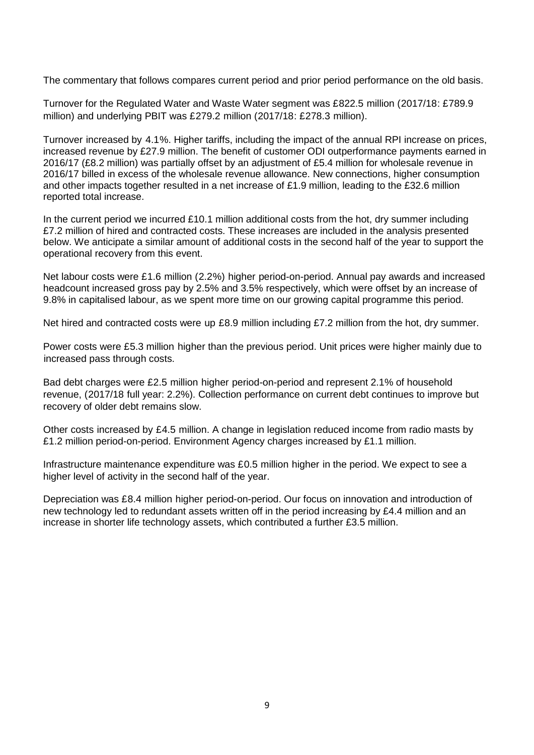The commentary that follows compares current period and prior period performance on the old basis.

Turnover for the Regulated Water and Waste Water segment was £822.5 million (2017/18: £789.9 million) and underlying PBIT was £279.2 million (2017/18: £278.3 million).

Turnover increased by 4.1%. Higher tariffs, including the impact of the annual RPI increase on prices, increased revenue by £27.9 million. The benefit of customer ODI outperformance payments earned in 2016/17 (£8.2 million) was partially offset by an adjustment of £5.4 million for wholesale revenue in 2016/17 billed in excess of the wholesale revenue allowance. New connections, higher consumption and other impacts together resulted in a net increase of £1.9 million, leading to the £32.6 million reported total increase.

In the current period we incurred £10.1 million additional costs from the hot, dry summer including £7.2 million of hired and contracted costs. These increases are included in the analysis presented below. We anticipate a similar amount of additional costs in the second half of the year to support the operational recovery from this event.

Net labour costs were £1.6 million (2.2%) higher period-on-period. Annual pay awards and increased headcount increased gross pay by 2.5% and 3.5% respectively, which were offset by an increase of 9.8% in capitalised labour, as we spent more time on our growing capital programme this period.

Net hired and contracted costs were up £8.9 million including £7.2 million from the hot, dry summer.

Power costs were £5.3 million higher than the previous period. Unit prices were higher mainly due to increased pass through costs.

Bad debt charges were £2.5 million higher period-on-period and represent 2.1% of household revenue, (2017/18 full year: 2.2%). Collection performance on current debt continues to improve but recovery of older debt remains slow.

Other costs increased by £4.5 million. A change in legislation reduced income from radio masts by £1.2 million period-on-period. Environment Agency charges increased by £1.1 million.

Infrastructure maintenance expenditure was £0.5 million higher in the period. We expect to see a higher level of activity in the second half of the year.

Depreciation was £8.4 million higher period-on-period. Our focus on innovation and introduction of new technology led to redundant assets written off in the period increasing by £4.4 million and an increase in shorter life technology assets, which contributed a further £3.5 million.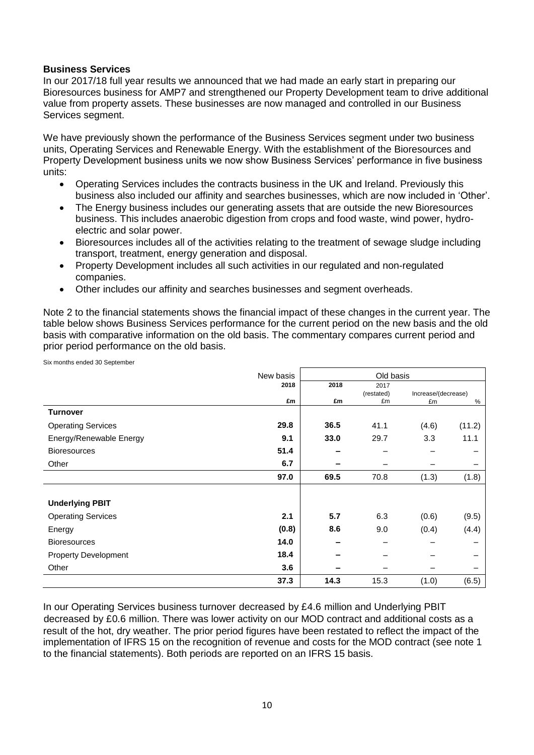### **Business Services**

Six months ended 30 September

In our 2017/18 full year results we announced that we had made an early start in preparing our Bioresources business for AMP7 and strengthened our Property Development team to drive additional value from property assets. These businesses are now managed and controlled in our Business Services segment.

We have previously shown the performance of the Business Services segment under two business units, Operating Services and Renewable Energy. With the establishment of the Bioresources and Property Development business units we now show Business Services' performance in five business units:

- Operating Services includes the contracts business in the UK and Ireland. Previously this business also included our affinity and searches businesses, which are now included in 'Other'.
- The Energy business includes our generating assets that are outside the new Bioresources business. This includes anaerobic digestion from crops and food waste, wind power, hydroelectric and solar power.
- Bioresources includes all of the activities relating to the treatment of sewage sludge including transport, treatment, energy generation and disposal.
- Property Development includes all such activities in our regulated and non-regulated companies.
- Other includes our affinity and searches businesses and segment overheads.

Note 2 to the financial statements shows the financial impact of these changes in the current year. The table below shows Business Services performance for the current period on the new basis and the old basis with comparative information on the old basis. The commentary compares current period and prior period performance on the old basis.

| on months ondou ou opptompor |           |           |            |                     |        |
|------------------------------|-----------|-----------|------------|---------------------|--------|
|                              | New basis | Old basis |            |                     |        |
|                              | 2018      | 2018      | 2017       |                     |        |
|                              |           |           | (restated) | Increase/(decrease) |        |
|                              | £m        | £m        | £m         | £m                  | %      |
| <b>Turnover</b>              |           |           |            |                     |        |
| <b>Operating Services</b>    | 29.8      | 36.5      | 41.1       | (4.6)               | (11.2) |
| Energy/Renewable Energy      | 9.1       | 33.0      | 29.7       | 3.3                 | 11.1   |
| <b>Bioresources</b>          | 51.4      |           |            |                     |        |
| Other                        | 6.7       |           |            |                     |        |
|                              | 97.0      | 69.5      | 70.8       | (1.3)               | (1.8)  |
|                              |           |           |            |                     |        |
| <b>Underlying PBIT</b>       |           |           |            |                     |        |
| <b>Operating Services</b>    | 2.1       | 5.7       | 6.3        | (0.6)               | (9.5)  |
| Energy                       | (0.8)     | 8.6       | 9.0        | (0.4)               | (4.4)  |
| <b>Bioresources</b>          | 14.0      |           |            |                     |        |
| <b>Property Development</b>  | 18.4      |           |            |                     |        |
| Other                        | 3.6       |           |            |                     |        |
|                              | 37.3      | 14.3      | 15.3       | (1.0)               | (6.5)  |

In our Operating Services business turnover decreased by £4.6 million and Underlying PBIT decreased by £0.6 million. There was lower activity on our MOD contract and additional costs as a result of the hot, dry weather. The prior period figures have been restated to reflect the impact of the implementation of IFRS 15 on the recognition of revenue and costs for the MOD contract (see note 1 to the financial statements). Both periods are reported on an IFRS 15 basis.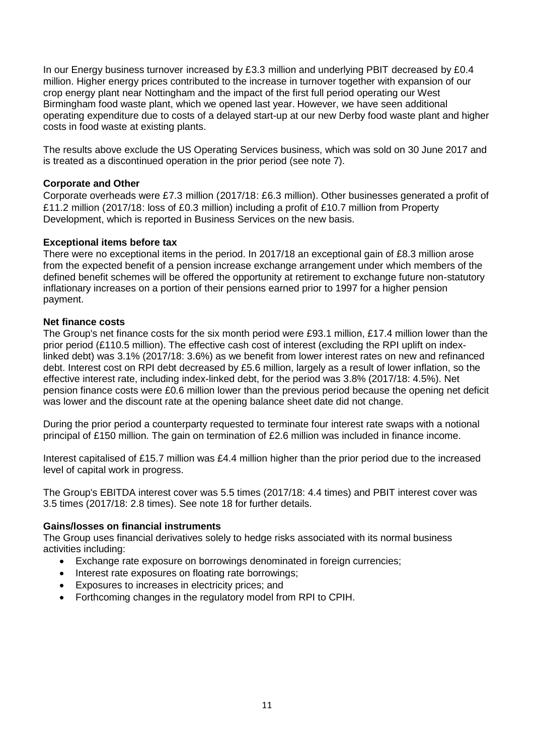In our Energy business turnover increased by £3.3 million and underlying PBIT decreased by £0.4 million. Higher energy prices contributed to the increase in turnover together with expansion of our crop energy plant near Nottingham and the impact of the first full period operating our West Birmingham food waste plant, which we opened last year. However, we have seen additional operating expenditure due to costs of a delayed start-up at our new Derby food waste plant and higher costs in food waste at existing plants.

The results above exclude the US Operating Services business, which was sold on 30 June 2017 and is treated as a discontinued operation in the prior period (see note 7).

## **Corporate and Other**

Corporate overheads were £7.3 million (2017/18: £6.3 million). Other businesses generated a profit of £11.2 million (2017/18: loss of £0.3 million) including a profit of £10.7 million from Property Development, which is reported in Business Services on the new basis.

## **Exceptional items before tax**

There were no exceptional items in the period. In 2017/18 an exceptional gain of £8.3 million arose from the expected benefit of a pension increase exchange arrangement under which members of the defined benefit schemes will be offered the opportunity at retirement to exchange future non-statutory inflationary increases on a portion of their pensions earned prior to 1997 for a higher pension payment.

## **Net finance costs**

The Group's net finance costs for the six month period were £93.1 million, £17.4 million lower than the prior period (£110.5 million). The effective cash cost of interest (excluding the RPI uplift on indexlinked debt) was 3.1% (2017/18: 3.6%) as we benefit from lower interest rates on new and refinanced debt. Interest cost on RPI debt decreased by £5.6 million, largely as a result of lower inflation, so the effective interest rate, including index-linked debt, for the period was 3.8% (2017/18: 4.5%). Net pension finance costs were £0.6 million lower than the previous period because the opening net deficit was lower and the discount rate at the opening balance sheet date did not change.

During the prior period a counterparty requested to terminate four interest rate swaps with a notional principal of £150 million. The gain on termination of £2.6 million was included in finance income.

Interest capitalised of £15.7 million was £4.4 million higher than the prior period due to the increased level of capital work in progress.

The Group's EBITDA interest cover was 5.5 times (2017/18: 4.4 times) and PBIT interest cover was 3.5 times (2017/18: 2.8 times). See note 18 for further details.

## **Gains/losses on financial instruments**

The Group uses financial derivatives solely to hedge risks associated with its normal business activities including:

- Exchange rate exposure on borrowings denominated in foreign currencies;
- Interest rate exposures on floating rate borrowings;
- Exposures to increases in electricity prices; and
- Forthcoming changes in the regulatory model from RPI to CPIH.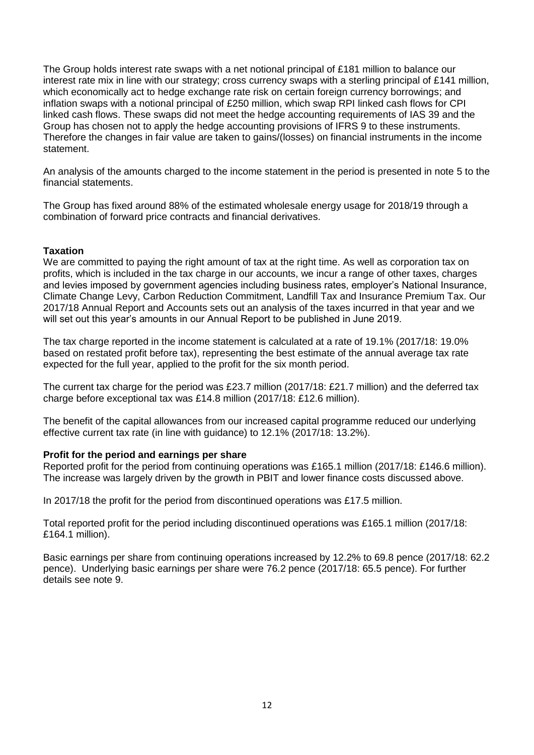The Group holds interest rate swaps with a net notional principal of £181 million to balance our interest rate mix in line with our strategy; cross currency swaps with a sterling principal of £141 million, which economically act to hedge exchange rate risk on certain foreign currency borrowings; and inflation swaps with a notional principal of £250 million, which swap RPI linked cash flows for CPI linked cash flows. These swaps did not meet the hedge accounting requirements of IAS 39 and the Group has chosen not to apply the hedge accounting provisions of IFRS 9 to these instruments. Therefore the changes in fair value are taken to gains/(losses) on financial instruments in the income statement.

An analysis of the amounts charged to the income statement in the period is presented in note 5 to the financial statements.

The Group has fixed around 88% of the estimated wholesale energy usage for 2018/19 through a combination of forward price contracts and financial derivatives.

## **Taxation**

We are committed to paying the right amount of tax at the right time. As well as corporation tax on profits, which is included in the tax charge in our accounts, we incur a range of other taxes, charges and levies imposed by government agencies including business rates, employer's National Insurance, Climate Change Levy, Carbon Reduction Commitment, Landfill Tax and Insurance Premium Tax. Our 2017/18 Annual Report and Accounts sets out an analysis of the taxes incurred in that year and we will set out this year's amounts in our Annual Report to be published in June 2019.

The tax charge reported in the income statement is calculated at a rate of 19.1% (2017/18: 19.0% based on restated profit before tax), representing the best estimate of the annual average tax rate expected for the full year, applied to the profit for the six month period.

The current tax charge for the period was £23.7 million (2017/18: £21.7 million) and the deferred tax charge before exceptional tax was £14.8 million (2017/18: £12.6 million).

The benefit of the capital allowances from our increased capital programme reduced our underlying effective current tax rate (in line with guidance) to 12.1% (2017/18: 13.2%).

## **Profit for the period and earnings per share**

Reported profit for the period from continuing operations was £165.1 million (2017/18: £146.6 million). The increase was largely driven by the growth in PBIT and lower finance costs discussed above.

In 2017/18 the profit for the period from discontinued operations was £17.5 million.

Total reported profit for the period including discontinued operations was £165.1 million (2017/18: £164.1 million).

Basic earnings per share from continuing operations increased by 12.2% to 69.8 pence (2017/18: 62.2 pence). Underlying basic earnings per share were 76.2 pence (2017/18: 65.5 pence). For further details see note 9.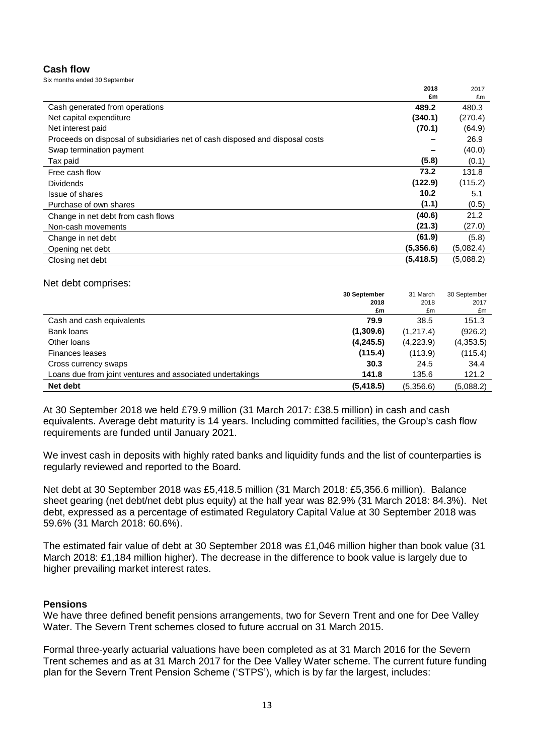## **Cash flow**

Six months ended 30 September

|                                                                              | 2018       | 2017      |
|------------------------------------------------------------------------------|------------|-----------|
|                                                                              | £m         | £m        |
| Cash generated from operations                                               | 489.2      | 480.3     |
| Net capital expenditure                                                      | (340.1)    | (270.4)   |
| Net interest paid                                                            | (70.1)     | (64.9)    |
| Proceeds on disposal of subsidiaries net of cash disposed and disposal costs |            | 26.9      |
| Swap termination payment                                                     |            | (40.0)    |
| Tax paid                                                                     | (5.8)      | (0.1)     |
| Free cash flow                                                               | 73.2       | 131.8     |
| <b>Dividends</b>                                                             | (122.9)    | (115.2)   |
| Issue of shares                                                              | 10.2       | 5.1       |
| Purchase of own shares                                                       | (1.1)      | (0.5)     |
| Change in net debt from cash flows                                           | (40.6)     | 21.2      |
| Non-cash movements                                                           | (21.3)     | (27.0)    |
| Change in net debt                                                           | (61.9)     | (5.8)     |
| Opening net debt                                                             | (5,356.6)  | (5,082.4) |
| Closing net debt                                                             | (5, 418.5) | (5,088.2) |

### Net debt comprises:

|                                                           | 30 September | 31 March  | 30 September |
|-----------------------------------------------------------|--------------|-----------|--------------|
|                                                           | 2018         | 2018      | 2017         |
|                                                           | £m           | £m        | £m           |
| Cash and cash equivalents                                 | 79.9         | 38.5      | 151.3        |
| Bank loans                                                | (1,309.6)    | (1,217.4) | (926.2)      |
| Other Ioans                                               | (4,245.5)    | (4,223.9) | (4,353.5)    |
| <b>Finances leases</b>                                    | (115.4)      | (113.9)   | (115.4)      |
| Cross currency swaps                                      | 30.3         | 24.5      | 34.4         |
| Loans due from joint ventures and associated undertakings | 141.8        | 135.6     | 121.2        |
| Net debt                                                  | (5, 418.5)   | (5,356.6) | (5,088.2)    |

At 30 September 2018 we held £79.9 million (31 March 2017: £38.5 million) in cash and cash equivalents. Average debt maturity is 14 years. Including committed facilities, the Group's cash flow requirements are funded until January 2021.

We invest cash in deposits with highly rated banks and liquidity funds and the list of counterparties is regularly reviewed and reported to the Board.

Net debt at 30 September 2018 was £5,418.5 million (31 March 2018: £5,356.6 million). Balance sheet gearing (net debt/net debt plus equity) at the half year was 82.9% (31 March 2018: 84.3%). Net debt, expressed as a percentage of estimated Regulatory Capital Value at 30 September 2018 was 59.6% (31 March 2018: 60.6%).

The estimated fair value of debt at 30 September 2018 was £1,046 million higher than book value (31 March 2018: £1,184 million higher). The decrease in the difference to book value is largely due to higher prevailing market interest rates.

### **Pensions**

We have three defined benefit pensions arrangements, two for Severn Trent and one for Dee Valley Water. The Severn Trent schemes closed to future accrual on 31 March 2015.

Formal three-yearly actuarial valuations have been completed as at 31 March 2016 for the Severn Trent schemes and as at 31 March 2017 for the Dee Valley Water scheme. The current future funding plan for the Severn Trent Pension Scheme ('STPS'), which is by far the largest, includes: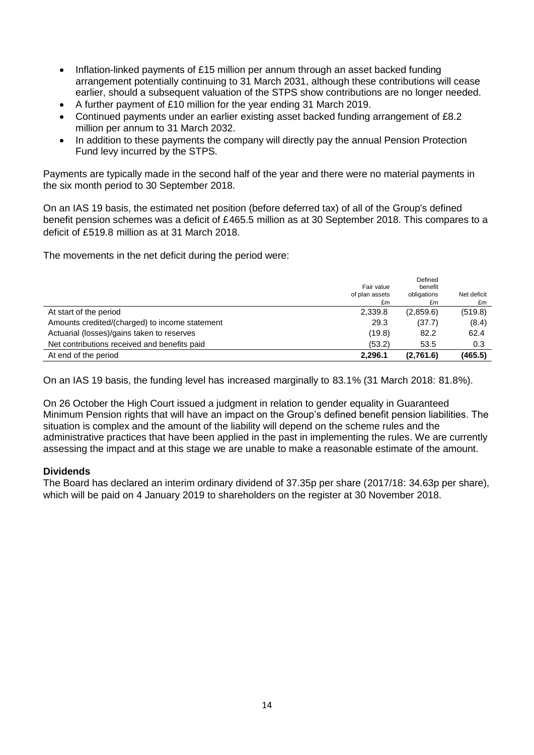- Inflation-linked payments of £15 million per annum through an asset backed funding arrangement potentially continuing to 31 March 2031, although these contributions will cease earlier, should a subsequent valuation of the STPS show contributions are no longer needed.
- A further payment of £10 million for the year ending 31 March 2019.
- Continued payments under an earlier existing asset backed funding arrangement of £8.2 million per annum to 31 March 2032.
- In addition to these payments the company will directly pay the annual Pension Protection Fund levy incurred by the STPS.

Payments are typically made in the second half of the year and there were no material payments in the six month period to 30 September 2018.

On an IAS 19 basis, the estimated net position (before deferred tax) of all of the Group's defined benefit pension schemes was a deficit of £465.5 million as at 30 September 2018. This compares to a deficit of £519.8 million as at 31 March 2018.

The movements in the net deficit during the period were:

| At end of the period                           | 2,296.1              | (2,761.6)          | (465.5)           |
|------------------------------------------------|----------------------|--------------------|-------------------|
| Net contributions received and benefits paid   | (53.2)               | 53.5               | 0.3               |
| Actuarial (losses)/gains taken to reserves     | (19.8)               | 82.2               | 62.4              |
| Amounts credited/(charged) to income statement | 29.3                 | (37.7)             | (8.4)             |
| At start of the period                         | 2,339.8              | (2,859.6)          | (519.8)           |
|                                                | of plan assets<br>£m | obligations<br>£m  | Net deficit<br>£m |
|                                                | Fair value           | Defined<br>benefit |                   |

On an IAS 19 basis, the funding level has increased marginally to 83.1% (31 March 2018: 81.8%).

On 26 October the High Court issued a judgment in relation to gender equality in Guaranteed Minimum Pension rights that will have an impact on the Group's defined benefit pension liabilities. The situation is complex and the amount of the liability will depend on the scheme rules and the administrative practices that have been applied in the past in implementing the rules. We are currently assessing the impact and at this stage we are unable to make a reasonable estimate of the amount.

## **Dividends**

The Board has declared an interim ordinary dividend of 37.35p per share (2017/18: 34.63p per share), which will be paid on 4 January 2019 to shareholders on the register at 30 November 2018.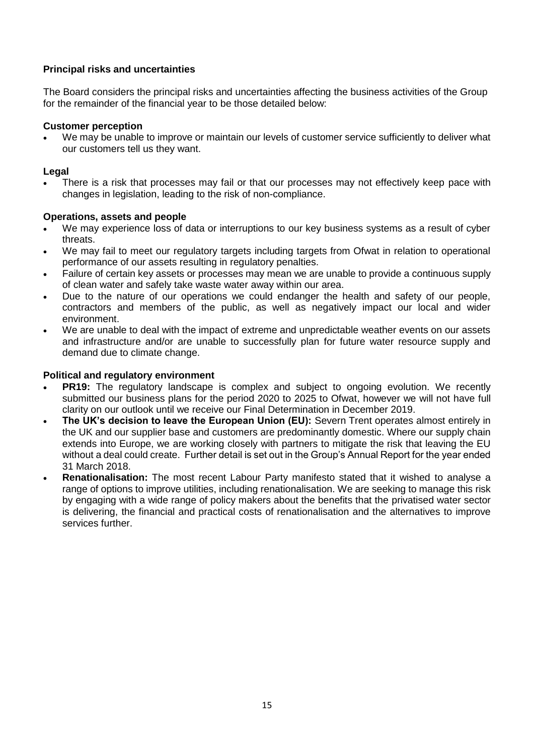## **Principal risks and uncertainties**

The Board considers the principal risks and uncertainties affecting the business activities of the Group for the remainder of the financial year to be those detailed below:

### **Customer perception**

We may be unable to improve or maintain our levels of customer service sufficiently to deliver what our customers tell us they want.

## **Legal**

 There is a risk that processes may fail or that our processes may not effectively keep pace with changes in legislation, leading to the risk of non-compliance.

## **Operations, assets and people**

- We may experience loss of data or interruptions to our key business systems as a result of cyber threats.
- We may fail to meet our regulatory targets including targets from Ofwat in relation to operational performance of our assets resulting in regulatory penalties.
- Failure of certain key assets or processes may mean we are unable to provide a continuous supply of clean water and safely take waste water away within our area.
- Due to the nature of our operations we could endanger the health and safety of our people, contractors and members of the public, as well as negatively impact our local and wider environment.
- We are unable to deal with the impact of extreme and unpredictable weather events on our assets and infrastructure and/or are unable to successfully plan for future water resource supply and demand due to climate change.

## **Political and regulatory environment**

- **PR19:** The regulatory landscape is complex and subject to ongoing evolution. We recently submitted our business plans for the period 2020 to 2025 to Ofwat, however we will not have full clarity on our outlook until we receive our Final Determination in December 2019.
- **The UK's decision to leave the European Union (EU):** Severn Trent operates almost entirely in the UK and our supplier base and customers are predominantly domestic. Where our supply chain extends into Europe, we are working closely with partners to mitigate the risk that leaving the EU without a deal could create. Further detail is set out in the Group's Annual Report for the year ended 31 March 2018.
- **Renationalisation:** The most recent Labour Party manifesto stated that it wished to analyse a range of options to improve utilities, including renationalisation. We are seeking to manage this risk by engaging with a wide range of policy makers about the benefits that the privatised water sector is delivering, the financial and practical costs of renationalisation and the alternatives to improve services further.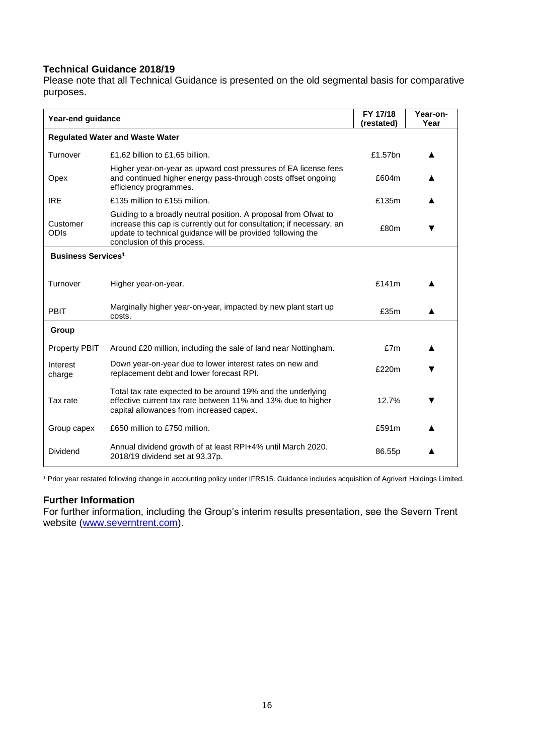## **Technical Guidance 2018/19**

Please note that all Technical Guidance is presented on the old segmental basis for comparative purposes.

| Year-end guidance                    |                                                                                                                                                                                                                                        | FY 17/18<br>(restated) | Year-on-<br>Year |
|--------------------------------------|----------------------------------------------------------------------------------------------------------------------------------------------------------------------------------------------------------------------------------------|------------------------|------------------|
|                                      | <b>Regulated Water and Waste Water</b>                                                                                                                                                                                                 |                        |                  |
| Turnover                             | £1.62 billion to £1.65 billion.                                                                                                                                                                                                        | £1.57bn                |                  |
| Opex                                 | Higher year-on-year as upward cost pressures of EA license fees<br>and continued higher energy pass-through costs offset ongoing<br>efficiency programmes.                                                                             | £604m                  |                  |
| <b>IRE</b>                           | £135 million to £155 million.                                                                                                                                                                                                          | £135m                  |                  |
| Customer<br><b>ODIS</b>              | Guiding to a broadly neutral position. A proposal from Ofwat to<br>increase this cap is currently out for consultation; if necessary, an<br>update to technical guidance will be provided following the<br>conclusion of this process. | £80m                   |                  |
| <b>Business Services<sup>1</sup></b> |                                                                                                                                                                                                                                        |                        |                  |
| Turnover                             | Higher year-on-year.                                                                                                                                                                                                                   | £141m                  |                  |
| <b>PBIT</b>                          | Marginally higher year-on-year, impacted by new plant start up<br>costs.                                                                                                                                                               | £35m                   |                  |
| Group                                |                                                                                                                                                                                                                                        |                        |                  |
| <b>Property PBIT</b>                 | Around £20 million, including the sale of land near Nottingham.                                                                                                                                                                        | £7m                    |                  |
| Interest<br>charge                   | Down year-on-year due to lower interest rates on new and<br>replacement debt and lower forecast RPI.                                                                                                                                   | £220m                  |                  |
| Tax rate                             | Total tax rate expected to be around 19% and the underlying<br>effective current tax rate between 11% and 13% due to higher<br>capital allowances from increased capex.                                                                | 12.7%                  | v                |
| Group capex                          | £650 million to £750 million.                                                                                                                                                                                                          | £591m                  |                  |
| Dividend                             | Annual dividend growth of at least RPI+4% until March 2020.<br>2018/19 dividend set at 93.37p.                                                                                                                                         | 86.55p                 |                  |

<sup>1</sup> Prior year restated following change in accounting policy under IFRS15. Guidance includes acquisition of Agrivert Holdings Limited.

## **Further Information**

For further information, including the Group's interim results presentation, see the Severn Trent website [\(www.severntrent.com\)](http://www.severntrent.com/).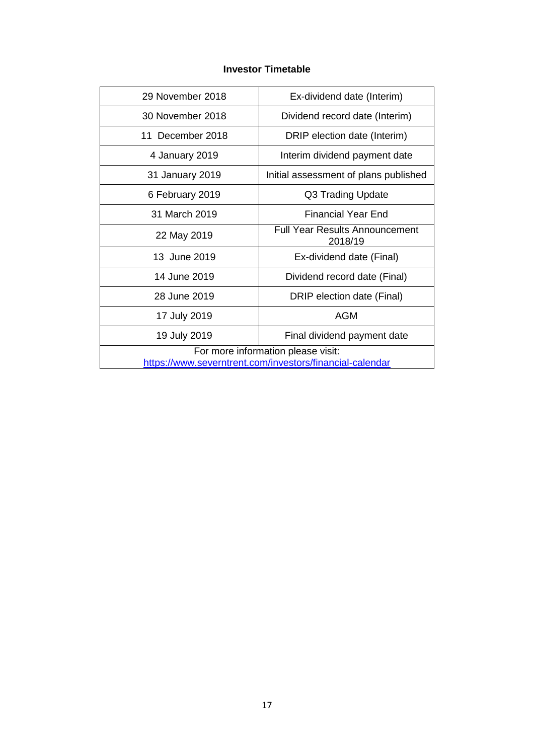## **Investor Timetable**

| 29 November 2018                                         | Ex-dividend date (Interim)                       |  |
|----------------------------------------------------------|--------------------------------------------------|--|
|                                                          |                                                  |  |
| 30 November 2018                                         | Dividend record date (Interim)                   |  |
| 11 December 2018                                         | DRIP election date (Interim)                     |  |
| 4 January 2019                                           | Interim dividend payment date                    |  |
| 31 January 2019                                          | Initial assessment of plans published            |  |
| 6 February 2019                                          | Q3 Trading Update                                |  |
| 31 March 2019                                            | Financial Year End                               |  |
| 22 May 2019                                              | <b>Full Year Results Announcement</b><br>2018/19 |  |
| 13 June 2019                                             | Ex-dividend date (Final)                         |  |
| 14 June 2019                                             | Dividend record date (Final)                     |  |
| 28 June 2019                                             | DRIP election date (Final)                       |  |
| 17 July 2019                                             | <b>AGM</b>                                       |  |
| 19 July 2019                                             | Final dividend payment date                      |  |
|                                                          | For more information please visit:               |  |
| https://www.severntrent.com/investors/financial-calendar |                                                  |  |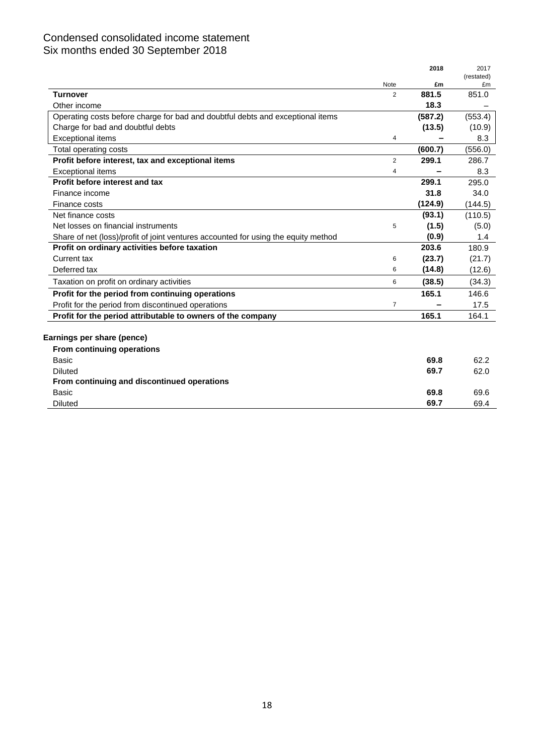## Condensed consolidated income statement Six months ended 30 September 2018

|                                                                                    |                | 2018    | 2017             |
|------------------------------------------------------------------------------------|----------------|---------|------------------|
|                                                                                    | Note           | £m      | (restated)<br>£m |
| <b>Turnover</b>                                                                    | $\overline{2}$ | 881.5   | 851.0            |
| Other income                                                                       |                | 18.3    |                  |
| Operating costs before charge for bad and doubtful debts and exceptional items     |                | (587.2) | (553.4)          |
| Charge for bad and doubtful debts                                                  |                | (13.5)  | (10.9)           |
| <b>Exceptional items</b>                                                           | 4              |         | 8.3              |
| Total operating costs                                                              |                | (600.7) | (556.0)          |
| Profit before interest, tax and exceptional items                                  | $\overline{2}$ | 299.1   | 286.7            |
| <b>Exceptional items</b>                                                           | 4              |         | 8.3              |
| Profit before interest and tax                                                     |                | 299.1   | 295.0            |
| Finance income                                                                     |                | 31.8    | 34.0             |
| Finance costs                                                                      |                | (124.9) | (144.5)          |
| Net finance costs                                                                  |                | (93.1)  | (110.5)          |
| Net losses on financial instruments                                                | 5              | (1.5)   | (5.0)            |
| Share of net (loss)/profit of joint ventures accounted for using the equity method |                | (0.9)   | 1.4              |
| Profit on ordinary activities before taxation                                      |                | 203.6   | 180.9            |
| Current tax                                                                        | 6              | (23.7)  | (21.7)           |
| Deferred tax                                                                       | 6              | (14.8)  | (12.6)           |
| Taxation on profit on ordinary activities                                          | 6              | (38.5)  | (34.3)           |
| Profit for the period from continuing operations                                   |                | 165.1   | 146.6            |
| Profit for the period from discontinued operations                                 | $\overline{7}$ |         | 17.5             |
| Profit for the period attributable to owners of the company                        |                | 165.1   | 164.1            |
|                                                                                    |                |         |                  |
| Earnings per share (pence)                                                         |                |         |                  |
| From continuing operations                                                         |                |         |                  |
| Basic                                                                              |                | 69.8    | 62.2             |
| <b>Diluted</b>                                                                     |                | 69.7    | 62.0             |
| From continuing and discontinued operations                                        |                |         |                  |
| Basic                                                                              |                | 69.8    | 69.6             |
| <b>Diluted</b>                                                                     |                | 69.7    | 69.4             |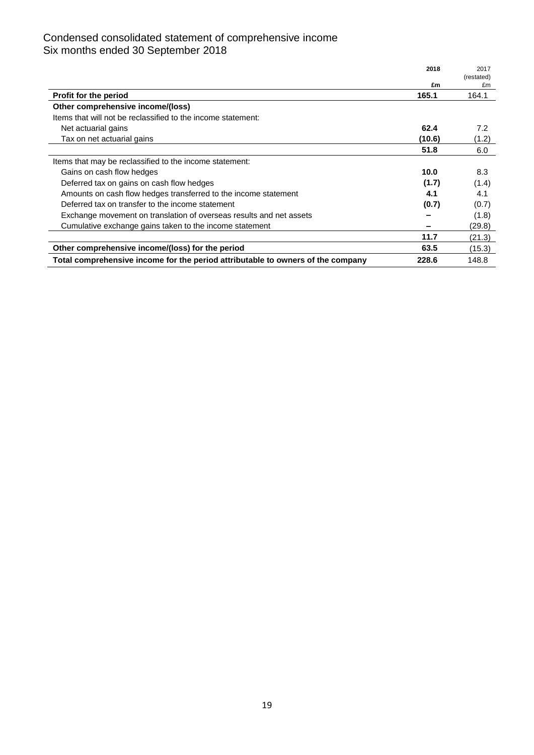## Condensed consolidated statement of comprehensive income Six months ended 30 September 2018

|                                                                                 | 2018   | 2017             |
|---------------------------------------------------------------------------------|--------|------------------|
|                                                                                 | £m     | (restated)<br>£m |
| <b>Profit for the period</b>                                                    | 165.1  | 164.1            |
| Other comprehensive income/(loss)                                               |        |                  |
| Items that will not be reclassified to the income statement:                    |        |                  |
| Net actuarial gains                                                             | 62.4   | 7.2              |
| Tax on net actuarial gains                                                      | (10.6) | (1.2)            |
|                                                                                 | 51.8   | 6.0              |
| Items that may be reclassified to the income statement:                         |        |                  |
| Gains on cash flow hedges                                                       | 10.0   | 8.3              |
| Deferred tax on gains on cash flow hedges                                       | (1.7)  | (1.4)            |
| Amounts on cash flow hedges transferred to the income statement                 | 4.1    | 4.1              |
| Deferred tax on transfer to the income statement                                | (0.7)  | (0.7)            |
| Exchange movement on translation of overseas results and net assets             |        | (1.8)            |
| Cumulative exchange gains taken to the income statement                         |        | (29.8)           |
|                                                                                 | 11.7   | (21.3)           |
| Other comprehensive income/(loss) for the period                                | 63.5   | (15.3)           |
| Total comprehensive income for the period attributable to owners of the company | 228.6  | 148.8            |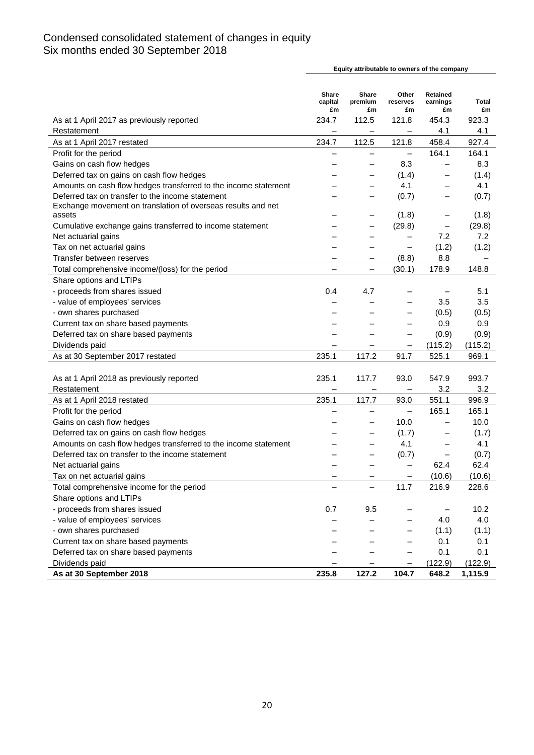## Condensed consolidated statement of changes in equity Six months ended 30 September 2018

**Share capital Share premium Other reserves Retained earnings Total £m £m £m £m £m** As at 1 April 2017 as previously reported 234.7 112.5 121.8 454.3 923.3 Restatement — — 4.1 4.1 As at 1 April 2017 restated **234.7** 112.5 121.8 458.4 927.4 Profit for the period  $\overline{a}$  =  $\overline{a}$  = 164.1 164.1 164.1 Gains on cash flow hedges  $\overline{a}$  and  $\overline{a}$  and  $\overline{a}$  and  $\overline{a}$  and  $\overline{a}$  and  $\overline{a}$  and  $\overline{a}$  and  $\overline{a}$  and  $\overline{a}$  and  $\overline{a}$  and  $\overline{a}$  and  $\overline{a}$  and  $\overline{a}$  and  $\overline{a}$  and  $\overline{a}$  and Deferred tax on gains on cash flow hedges  $(1.4)$   $(1.4)$ Amounts on cash flow hedges transferred to the income statement  $\qquad \qquad -$  4.1  $\qquad -$  4.1 Deferred tax on transfer to the income statement  $(0.7)$   $(0.7)$ Exchange movement on translation of overseas results and net assets  $\qquad \qquad \qquad - \qquad - \qquad (1.8) \qquad - \qquad (1.8)$ Cumulative exchange gains transferred to income statement  $(29.8)$   $(29.8)$ Net actuarial gains  $\overline{a}$  and  $\overline{a}$  and  $\overline{a}$   $\overline{a}$   $\overline{a}$   $\overline{a}$   $\overline{a}$   $\overline{a}$   $\overline{a}$   $\overline{a}$   $\overline{a}$   $\overline{a}$   $\overline{a}$   $\overline{a}$   $\overline{a}$   $\overline{a}$   $\overline{a}$   $\overline{a}$   $\overline{a}$   $\overline{a}$   $\overline{a}$   $\overline$ Tax on net actuarial gains  $\overline{a}$  =  $\overline{a}$  =  $\overline{a}$  =  $\overline{a}$  =  $\overline{a}$  (1.2) (1.2) (1.2) Transfer between reserves  $-$  (8.8) 8.8 Total comprehensive income/(loss) for the period  $(30.1)$  178.9 148.8 Share options and LTIPs - proceeds from shares issued by the contract of the contract of the contract of the contract of the contract of the contract of the contract of the contract of the contract of the contract of the contract of the contract - value of employees' services ‒ ‒ ‒ 3.5 3.5 - own shares purchased  $(0.5)$   $(0.5)$ Current tax on share based payments  $\sim$   $-$  0.9 0.9 Deferred tax on share based payments  $\overline{a}$  and  $\overline{a}$  and  $\overline{a}$  and  $\overline{a}$  and  $\overline{a}$  and  $\overline{a}$  and  $\overline{a}$  and  $\overline{a}$  and  $\overline{a}$  and  $\overline{a}$  and  $\overline{a}$  and  $\overline{a}$  and  $\overline{a}$  and  $\overline{a}$  and  $\$ Dividends paid  $(115.2)$   $(115.2)$ As at 30 September 2017 restated 235.1 117.2 91.7 525.1 969.1 As at 1 April 2018 as previously reported 235.1 117.7 93.0 547.9 993.7  $R$ estatement  $\qquad \qquad - \qquad - \qquad - \qquad 3.2 \qquad 3.2$ As at 1 April 2018 restated 235.1 117.7 93.0 551.1 996.9 Profit for the period  $\overline{a}$  =  $\overline{a}$  = 165.1 165.1 165.1 Gains on cash flow hedges  $10.0$   $10.0$ Deferred tax on gains on cash flow hedges  $(1.7)$   $(1.7)$ Amounts on cash flow hedges transferred to the income statement  $\qquad \qquad -$  4.1  $\qquad -$  4.1 Deferred tax on transfer to the income statement  $(0.7)$   $(0.7)$ Net actuarial gains  $-$  62.4 62.4 Tax on net actuarial gains  $\overline{a}$  =  $\overline{b}$  =  $\overline{c}$  =  $\overline{c}$  =  $\overline{c}$  (10.6) (10.6) (10.6) Total comprehensive income for the period  $-$  11.7 216.9 228.6 Share options and LTIPs - proceeds from shares issued  $0.7$   $9.5$   $-$  10.2 - value of employees' services  $-$  4.0 4.0 - own shares purchased  $\qquad \qquad - \qquad - \qquad - \qquad (1.1)$  (1.1) Current tax on share based payments  $\sim$   $-$  0.1 0.1 Deferred tax on share based payments  $\overline{a}$  and  $\overline{a}$  and  $\overline{a}$  and  $\overline{a}$  and  $\overline{a}$  and  $\overline{a}$  and  $\overline{a}$  and  $\overline{a}$  and  $\overline{a}$  and  $\overline{a}$  and  $\overline{a}$  and  $\overline{a}$  and  $\overline{a}$  and  $\overline{a}$  and  $\$ Dividends paid **a EXECUTE 2018 The CONSTRUCTER CONSTRUCTER ACCESS <b>CONSTRUCTER CONSTRUCTER CONSTRUCTER CONSTRUCTER CONSTRUCTER CONSTRUCTER CONSTRUCTER CONSTRUCTER CONSTRUCTER CONSTRUCTER CONSTRUCTER As at 30 September 2018 235.8 127.2 104.7 648.2 1,115.9**

**Equity attributable to owners of the company**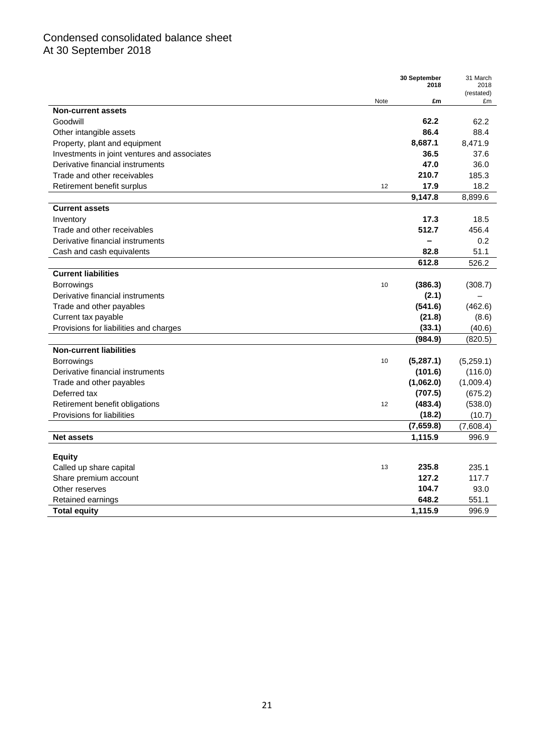## Condensed consolidated balance sheet At 30 September 2018

| (restated)<br>Note<br>£m<br>£m<br><b>Non-current assets</b><br>Goodwill<br>62.2<br>62.2<br>86.4<br>88.4<br>Other intangible assets<br>8,687.1<br>8,471.9<br>Property, plant and equipment<br>36.5<br>37.6<br>Investments in joint ventures and associates<br>36.0<br>Derivative financial instruments<br>47.0<br>Trade and other receivables<br>210.7<br>185.3<br>17.9<br>18.2<br>Retirement benefit surplus<br>12<br>9,147.8<br>8,899.6<br><b>Current assets</b><br>17.3<br>18.5<br>Inventory<br>512.7<br>Trade and other receivables<br>456.4<br>Derivative financial instruments<br>0.2<br>$\overline{\phantom{0}}$ |
|------------------------------------------------------------------------------------------------------------------------------------------------------------------------------------------------------------------------------------------------------------------------------------------------------------------------------------------------------------------------------------------------------------------------------------------------------------------------------------------------------------------------------------------------------------------------------------------------------------------------|
|                                                                                                                                                                                                                                                                                                                                                                                                                                                                                                                                                                                                                        |
|                                                                                                                                                                                                                                                                                                                                                                                                                                                                                                                                                                                                                        |
|                                                                                                                                                                                                                                                                                                                                                                                                                                                                                                                                                                                                                        |
|                                                                                                                                                                                                                                                                                                                                                                                                                                                                                                                                                                                                                        |
|                                                                                                                                                                                                                                                                                                                                                                                                                                                                                                                                                                                                                        |
|                                                                                                                                                                                                                                                                                                                                                                                                                                                                                                                                                                                                                        |
|                                                                                                                                                                                                                                                                                                                                                                                                                                                                                                                                                                                                                        |
|                                                                                                                                                                                                                                                                                                                                                                                                                                                                                                                                                                                                                        |
|                                                                                                                                                                                                                                                                                                                                                                                                                                                                                                                                                                                                                        |
|                                                                                                                                                                                                                                                                                                                                                                                                                                                                                                                                                                                                                        |
|                                                                                                                                                                                                                                                                                                                                                                                                                                                                                                                                                                                                                        |
|                                                                                                                                                                                                                                                                                                                                                                                                                                                                                                                                                                                                                        |
|                                                                                                                                                                                                                                                                                                                                                                                                                                                                                                                                                                                                                        |
|                                                                                                                                                                                                                                                                                                                                                                                                                                                                                                                                                                                                                        |
| 82.8<br>51.1<br>Cash and cash equivalents                                                                                                                                                                                                                                                                                                                                                                                                                                                                                                                                                                              |
| 612.8<br>526.2                                                                                                                                                                                                                                                                                                                                                                                                                                                                                                                                                                                                         |
| <b>Current liabilities</b>                                                                                                                                                                                                                                                                                                                                                                                                                                                                                                                                                                                             |
| Borrowings<br>10<br>(386.3)<br>(308.7)                                                                                                                                                                                                                                                                                                                                                                                                                                                                                                                                                                                 |
| Derivative financial instruments<br>(2.1)                                                                                                                                                                                                                                                                                                                                                                                                                                                                                                                                                                              |
| Trade and other payables<br>(541.6)<br>(462.6)                                                                                                                                                                                                                                                                                                                                                                                                                                                                                                                                                                         |
| Current tax payable<br>(21.8)<br>(8.6)                                                                                                                                                                                                                                                                                                                                                                                                                                                                                                                                                                                 |
| Provisions for liabilities and charges<br>(33.1)<br>(40.6)                                                                                                                                                                                                                                                                                                                                                                                                                                                                                                                                                             |
| (984.9)<br>(820.5)                                                                                                                                                                                                                                                                                                                                                                                                                                                                                                                                                                                                     |
| <b>Non-current liabilities</b>                                                                                                                                                                                                                                                                                                                                                                                                                                                                                                                                                                                         |
| (5,287.1)<br><b>Borrowings</b><br>10<br>(5,259.1)                                                                                                                                                                                                                                                                                                                                                                                                                                                                                                                                                                      |
| Derivative financial instruments<br>(116.0)<br>(101.6)                                                                                                                                                                                                                                                                                                                                                                                                                                                                                                                                                                 |
| Trade and other payables<br>(1,062.0)<br>(1,009.4)                                                                                                                                                                                                                                                                                                                                                                                                                                                                                                                                                                     |
| (707.5)<br>Deferred tax<br>(675.2)                                                                                                                                                                                                                                                                                                                                                                                                                                                                                                                                                                                     |
| (483.4)<br>Retirement benefit obligations<br>(538.0)<br>12                                                                                                                                                                                                                                                                                                                                                                                                                                                                                                                                                             |
| Provisions for liabilities<br>(18.2)<br>(10.7)                                                                                                                                                                                                                                                                                                                                                                                                                                                                                                                                                                         |
| (7,659.8)<br>(7,608.4)                                                                                                                                                                                                                                                                                                                                                                                                                                                                                                                                                                                                 |
| 1,115.9<br><b>Net assets</b><br>996.9                                                                                                                                                                                                                                                                                                                                                                                                                                                                                                                                                                                  |
| Equity                                                                                                                                                                                                                                                                                                                                                                                                                                                                                                                                                                                                                 |
| 235.8<br>235.1<br>Called up share capital<br>13                                                                                                                                                                                                                                                                                                                                                                                                                                                                                                                                                                        |
| 127.2<br>117.7<br>Share premium account                                                                                                                                                                                                                                                                                                                                                                                                                                                                                                                                                                                |
| 93.0<br>Other reserves<br>104.7                                                                                                                                                                                                                                                                                                                                                                                                                                                                                                                                                                                        |
| 648.2<br>551.1<br>Retained earnings                                                                                                                                                                                                                                                                                                                                                                                                                                                                                                                                                                                    |
| 1,115.9<br>996.9<br><b>Total equity</b>                                                                                                                                                                                                                                                                                                                                                                                                                                                                                                                                                                                |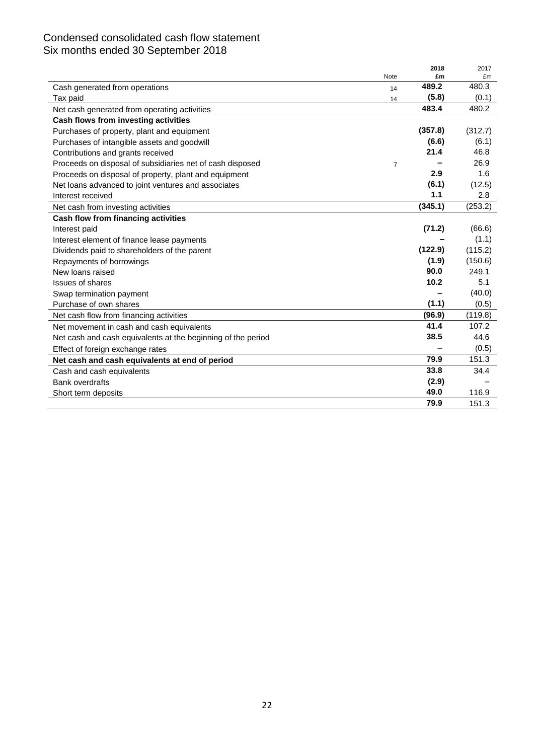## Condensed consolidated cash flow statement Six months ended 30 September 2018

|                                                              |                | 2018    | 2017    |
|--------------------------------------------------------------|----------------|---------|---------|
|                                                              | Note           | £m      | £m      |
| Cash generated from operations                               | 14             | 489.2   | 480.3   |
| Tax paid                                                     | 14             | (5.8)   | (0.1)   |
| Net cash generated from operating activities                 |                | 483.4   | 480.2   |
| Cash flows from investing activities                         |                |         |         |
| Purchases of property, plant and equipment                   |                | (357.8) | (312.7) |
| Purchases of intangible assets and goodwill                  |                | (6.6)   | (6.1)   |
| Contributions and grants received                            |                | 21.4    | 46.8    |
| Proceeds on disposal of subsidiaries net of cash disposed    | $\overline{7}$ |         | 26.9    |
| Proceeds on disposal of property, plant and equipment        |                | 2.9     | 1.6     |
| Net loans advanced to joint ventures and associates          |                | (6.1)   | (12.5)  |
| Interest received                                            |                | 1.1     | 2.8     |
| Net cash from investing activities                           |                | (345.1) | (253.2) |
| Cash flow from financing activities                          |                |         |         |
| Interest paid                                                |                | (71.2)  | (66.6)  |
| Interest element of finance lease payments                   |                |         | (1.1)   |
| Dividends paid to shareholders of the parent                 |                | (122.9) | (115.2) |
| Repayments of borrowings                                     |                | (1.9)   | (150.6) |
| New loans raised                                             |                | 90.0    | 249.1   |
| <b>Issues of shares</b>                                      |                | 10.2    | 5.1     |
| Swap termination payment                                     |                |         | (40.0)  |
| Purchase of own shares                                       |                | (1.1)   | (0.5)   |
| Net cash flow from financing activities                      |                | (96.9)  | (119.8) |
| Net movement in cash and cash equivalents                    |                | 41.4    | 107.2   |
| Net cash and cash equivalents at the beginning of the period |                | 38.5    | 44.6    |
| Effect of foreign exchange rates                             |                |         | (0.5)   |
| Net cash and cash equivalents at end of period               |                | 79.9    | 151.3   |
| Cash and cash equivalents                                    |                | 33.8    | 34.4    |
| <b>Bank overdrafts</b>                                       |                | (2.9)   |         |
| Short term deposits                                          |                | 49.0    | 116.9   |
|                                                              |                | 79.9    | 151.3   |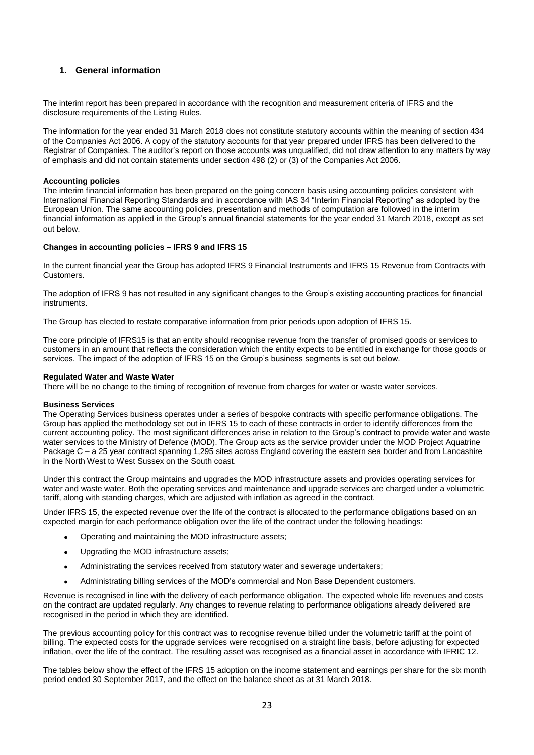### **1. General information**

The interim report has been prepared in accordance with the recognition and measurement criteria of IFRS and the disclosure requirements of the Listing Rules.

The information for the year ended 31 March 2018 does not constitute statutory accounts within the meaning of section 434 of the Companies Act 2006. A copy of the statutory accounts for that year prepared under IFRS has been delivered to the Registrar of Companies. The auditor's report on those accounts was unqualified, did not draw attention to any matters by way of emphasis and did not contain statements under section 498 (2) or (3) of the Companies Act 2006.

#### **Accounting policies**

The interim financial information has been prepared on the going concern basis using accounting policies consistent with International Financial Reporting Standards and in accordance with IAS 34 "Interim Financial Reporting" as adopted by the European Union. The same accounting policies, presentation and methods of computation are followed in the interim financial information as applied in the Group's annual financial statements for the year ended 31 March 2018, except as set out below.

#### **Changes in accounting policies – IFRS 9 and IFRS 15**

In the current financial year the Group has adopted IFRS 9 Financial Instruments and IFRS 15 Revenue from Contracts with Customers.

The adoption of IFRS 9 has not resulted in any significant changes to the Group's existing accounting practices for financial instruments.

The Group has elected to restate comparative information from prior periods upon adoption of IFRS 15.

The core principle of IFRS15 is that an entity should recognise revenue from the transfer of promised goods or services to customers in an amount that reflects the consideration which the entity expects to be entitled in exchange for those goods or services. The impact of the adoption of IFRS 15 on the Group's business segments is set out below.

#### **Regulated Water and Waste Water**

There will be no change to the timing of recognition of revenue from charges for water or waste water services.

#### **Business Services**

The Operating Services business operates under a series of bespoke contracts with specific performance obligations. The Group has applied the methodology set out in IFRS 15 to each of these contracts in order to identify differences from the current accounting policy. The most significant differences arise in relation to the Group's contract to provide water and waste water services to the Ministry of Defence (MOD). The Group acts as the service provider under the MOD Project Aquatrine Package C – a 25 year contract spanning 1,295 sites across England covering the eastern sea border and from Lancashire in the North West to West Sussex on the South coast.

Under this contract the Group maintains and upgrades the MOD infrastructure assets and provides operating services for water and waste water. Both the operating services and maintenance and upgrade services are charged under a volumetric tariff, along with standing charges, which are adjusted with inflation as agreed in the contract.

Under IFRS 15, the expected revenue over the life of the contract is allocated to the performance obligations based on an expected margin for each performance obligation over the life of the contract under the following headings:

- Operating and maintaining the MOD infrastructure assets;
- Upgrading the MOD infrastructure assets:
- Administrating the services received from statutory water and sewerage undertakers;
- Administrating billing services of the MOD's commercial and Non Base Dependent customers.

Revenue is recognised in line with the delivery of each performance obligation. The expected whole life revenues and costs on the contract are updated regularly. Any changes to revenue relating to performance obligations already delivered are recognised in the period in which they are identified.

The previous accounting policy for this contract was to recognise revenue billed under the volumetric tariff at the point of billing. The expected costs for the upgrade services were recognised on a straight line basis, before adjusting for expected inflation, over the life of the contract. The resulting asset was recognised as a financial asset in accordance with IFRIC 12.

The tables below show the effect of the IFRS 15 adoption on the income statement and earnings per share for the six month period ended 30 September 2017, and the effect on the balance sheet as at 31 March 2018.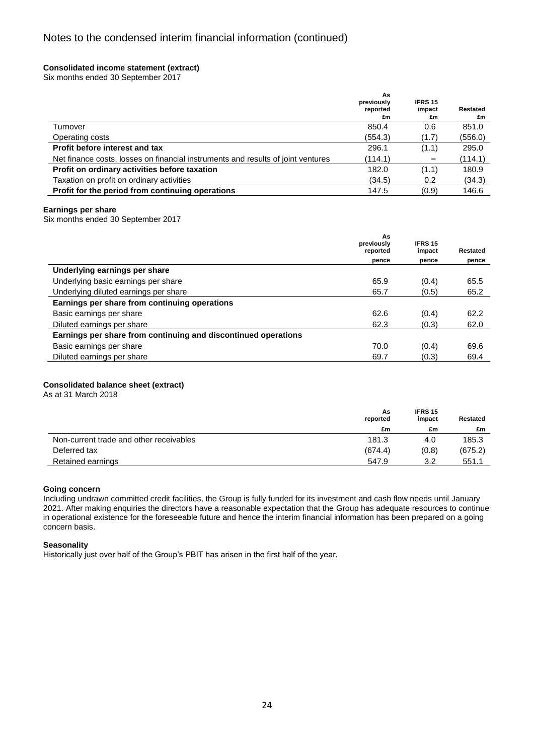### **Consolidated income statement (extract)**

Six months ended 30 September 2017

| reported<br>impact<br>£m<br>£m                                                              | £m      |
|---------------------------------------------------------------------------------------------|---------|
| 850.4<br>0.6<br>Turnover                                                                    | 851.0   |
| (554.3)<br>Operating costs<br>(1.7)                                                         | (556.0) |
| Profit before interest and tax<br>296.1<br>(1.1)                                            | 295.0   |
| Net finance costs, losses on financial instruments and results of joint ventures<br>(114.1) | (114.1) |
| Profit on ordinary activities before taxation<br>182.0<br>(1.1)                             | 180.9   |
| Taxation on profit on ordinary activities<br>(34.5)<br>0.2                                  | (34.3)  |
| Profit for the period from continuing operations<br>147.5<br>(0.9)                          | 146.6   |

### **Earnings per share**

Six months ended 30 September 2017

|                                                                | As<br>previously<br>reported | <b>IFRS 15</b><br>impact | Restated |
|----------------------------------------------------------------|------------------------------|--------------------------|----------|
|                                                                | pence                        | pence                    | pence    |
| Underlying earnings per share                                  |                              |                          |          |
| Underlying basic earnings per share                            | 65.9                         | (0.4)                    | 65.5     |
| Underlying diluted earnings per share                          | 65.7                         | (0.5)                    | 65.2     |
| Earnings per share from continuing operations                  |                              |                          |          |
| Basic earnings per share                                       | 62.6                         | (0.4)                    | 62.2     |
| Diluted earnings per share                                     | 62.3                         | (0.3)                    | 62.0     |
| Earnings per share from continuing and discontinued operations |                              |                          |          |
| Basic earnings per share                                       | 70.0                         | (0.4)                    | 69.6     |
| Diluted earnings per share                                     | 69.7                         | (0.3)                    | 69.4     |

### **Consolidated balance sheet (extract)**

As at 31 March 2018

|                                         | As<br>reported | <b>IFRS 15</b><br>impact | Restated |
|-----------------------------------------|----------------|--------------------------|----------|
|                                         | £m             | £m                       | £m       |
| Non-current trade and other receivables | 181.3          | 4.0                      | 185.3    |
| Deferred tax                            | (674.4)        | (0.8)                    | (675.2)  |
| Retained earnings                       | 547.9          | 3.2                      | 551.1    |

### **Going concern**

Including undrawn committed credit facilities, the Group is fully funded for its investment and cash flow needs until January 2021. After making enquiries the directors have a reasonable expectation that the Group has adequate resources to continue in operational existence for the foreseeable future and hence the interim financial information has been prepared on a going concern basis.

### **Seasonality**

Historically just over half of the Group's PBIT has arisen in the first half of the year.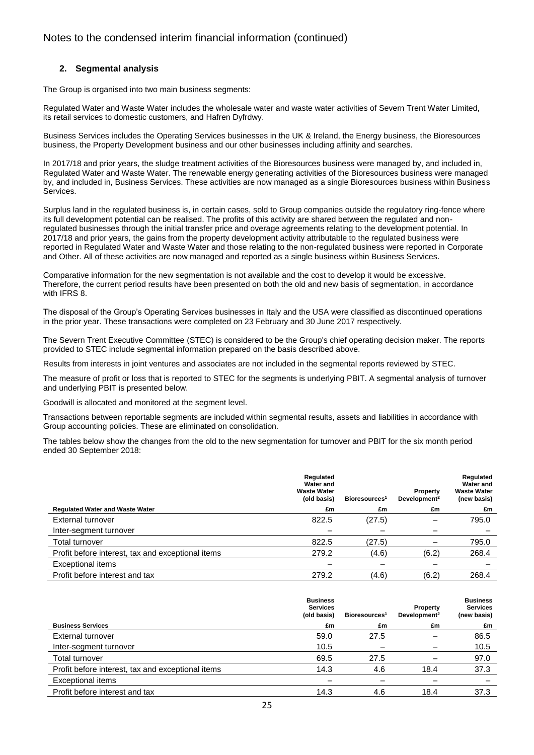### **2. Segmental analysis**

The Group is organised into two main business segments:

Regulated Water and Waste Water includes the wholesale water and waste water activities of Severn Trent Water Limited, its retail services to domestic customers, and Hafren Dyfrdwy.

Business Services includes the Operating Services businesses in the UK & Ireland, the Energy business, the Bioresources business, the Property Development business and our other businesses including affinity and searches.

In 2017/18 and prior years, the sludge treatment activities of the Bioresources business were managed by, and included in, Regulated Water and Waste Water. The renewable energy generating activities of the Bioresources business were managed by, and included in, Business Services. These activities are now managed as a single Bioresources business within Business Services.

Surplus land in the regulated business is, in certain cases, sold to Group companies outside the regulatory ring-fence where its full development potential can be realised. The profits of this activity are shared between the regulated and nonregulated businesses through the initial transfer price and overage agreements relating to the development potential. In 2017/18 and prior years, the gains from the property development activity attributable to the regulated business were reported in Regulated Water and Waste Water and those relating to the non-regulated business were reported in Corporate and Other. All of these activities are now managed and reported as a single business within Business Services.

Comparative information for the new segmentation is not available and the cost to develop it would be excessive. Therefore, the current period results have been presented on both the old and new basis of segmentation, in accordance with IFRS 8.

The disposal of the Group's Operating Services businesses in Italy and the USA were classified as discontinued operations in the prior year. These transactions were completed on 23 February and 30 June 2017 respectively.

The Severn Trent Executive Committee (STEC) is considered to be the Group's chief operating decision maker. The reports provided to STEC include segmental information prepared on the basis described above.

Results from interests in joint ventures and associates are not included in the segmental reports reviewed by STEC.

The measure of profit or loss that is reported to STEC for the segments is underlying PBIT. A segmental analysis of turnover and underlying PBIT is presented below.

Goodwill is allocated and monitored at the segment level.

Transactions between reportable segments are included within segmental results, assets and liabilities in accordance with Group accounting policies. These are eliminated on consolidation.

The tables below show the changes from the old to the new segmentation for turnover and PBIT for the six month period ended 30 September 2018:

|                                                   | Regulated<br>Water and<br><b>Waste Water</b><br>(old basis) | Bioresources <sup>1</sup> | Property<br>Development <sup>2</sup> | Regulated<br>Water and<br><b>Waste Water</b><br>(new basis) |
|---------------------------------------------------|-------------------------------------------------------------|---------------------------|--------------------------------------|-------------------------------------------------------------|
| <b>Regulated Water and Waste Water</b>            | £m                                                          | £m                        | £m                                   | £m                                                          |
| External turnover                                 | 822.5                                                       | (27.5)                    |                                      | 795.0                                                       |
| Inter-segment turnover                            |                                                             |                           |                                      |                                                             |
| Total turnover                                    | 822.5                                                       | (27.5)                    |                                      | 795.0                                                       |
| Profit before interest, tax and exceptional items | 279.2                                                       | (4.6)                     | (6.2)                                | 268.4                                                       |
| Exceptional items                                 |                                                             |                           |                                      |                                                             |
| Profit before interest and tax                    | 279.2                                                       | (4.6)                     | (6.2)                                | 268.4                                                       |

|                                                   | <b>Business</b><br><b>Services</b><br>(old basis) | Bioresources <sup>1</sup> | Property<br>Development <sup>2</sup> | <b>Business</b><br><b>Services</b><br>(new basis) |
|---------------------------------------------------|---------------------------------------------------|---------------------------|--------------------------------------|---------------------------------------------------|
| <b>Business Services</b>                          | £m                                                | £m                        | £m                                   | £m                                                |
| External turnover                                 | 59.0                                              | 27.5                      |                                      | 86.5                                              |
| Inter-segment turnover                            | 10.5                                              |                           |                                      | 10.5                                              |
| Total turnover                                    | 69.5                                              | 27.5                      |                                      | 97.0                                              |
| Profit before interest, tax and exceptional items | 14.3                                              | 4.6                       | 18.4                                 | 37.3                                              |
| <b>Exceptional items</b>                          |                                                   |                           |                                      |                                                   |
| Profit before interest and tax                    | 14.3                                              | 4.6                       | 18.4                                 | 37.3                                              |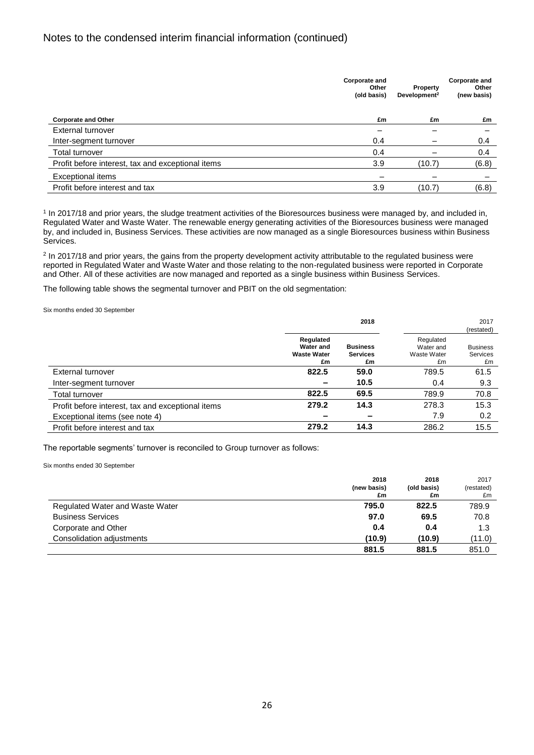|                                                   | Corporate and<br>Other<br>(old basis) | Property<br>Development <sup>2</sup> | <b>Corporate and</b><br>Other<br>(new basis) |
|---------------------------------------------------|---------------------------------------|--------------------------------------|----------------------------------------------|
| <b>Corporate and Other</b>                        | £m                                    | £m                                   | £m                                           |
| External turnover                                 | -                                     | -                                    |                                              |
| Inter-segment turnover                            | 0.4                                   |                                      | 0.4                                          |
| <b>Total turnover</b>                             | 0.4                                   |                                      | 0.4                                          |
| Profit before interest, tax and exceptional items | 3.9                                   | (10.7)                               | (6.8)                                        |
| Exceptional items                                 |                                       | -                                    |                                              |
| Profit before interest and tax                    | 3.9                                   | (10.7)                               | (6.8)                                        |
|                                                   |                                       |                                      |                                              |

<sup>1</sup> In 2017/18 and prior years, the sludge treatment activities of the Bioresources business were managed by, and included in, Regulated Water and Waste Water. The renewable energy generating activities of the Bioresources business were managed by, and included in, Business Services. These activities are now managed as a single Bioresources business within Business Services.

<sup>2</sup> In 2017/18 and prior years, the gains from the property development activity attributable to the regulated business were reported in Regulated Water and Waste Water and those relating to the non-regulated business were reported in Corporate and Other. All of these activities are now managed and reported as a single business within Business Services.

The following table shows the segmental turnover and PBIT on the old segmentation:

Six months ended 30 September

|                                                   |                                                    | 2018                                     |                                             | 2017                              |
|---------------------------------------------------|----------------------------------------------------|------------------------------------------|---------------------------------------------|-----------------------------------|
|                                                   |                                                    |                                          |                                             | (restated)                        |
|                                                   | Regulated<br>Water and<br><b>Waste Water</b><br>£m | <b>Business</b><br><b>Services</b><br>£m | Regulated<br>Water and<br>Waste Water<br>£m | <b>Business</b><br>Services<br>£m |
| External turnover                                 | 822.5                                              | 59.0                                     | 789.5                                       | 61.5                              |
| Inter-segment turnover                            |                                                    | 10.5                                     | 0.4                                         | 9.3                               |
| Total turnover                                    | 822.5                                              | 69.5                                     | 789.9                                       | 70.8                              |
| Profit before interest, tax and exceptional items | 279.2                                              | 14.3                                     | 278.3                                       | 15.3                              |
| Exceptional items (see note 4)                    |                                                    |                                          | 7.9                                         | 0.2                               |
| Profit before interest and tax                    | 279.2                                              | 14.3                                     | 286.2                                       | 15.5                              |

The reportable segments' turnover is reconciled to Group turnover as follows:

Six months ended 30 September

|                                 | 2018<br>(new basis)<br>£m | 2018<br>(old basis)<br>£m | 2017<br>(restated)<br>£m |
|---------------------------------|---------------------------|---------------------------|--------------------------|
| Regulated Water and Waste Water | 795.0                     | 822.5                     | 789.9                    |
| <b>Business Services</b>        | 97.0                      | 69.5                      | 70.8                     |
| Corporate and Other             | 0.4                       | 0.4                       | 1.3                      |
| Consolidation adjustments       | (10.9)                    | (10.9)                    | (11.0)                   |
|                                 | 881.5                     | 881.5                     | 851.0                    |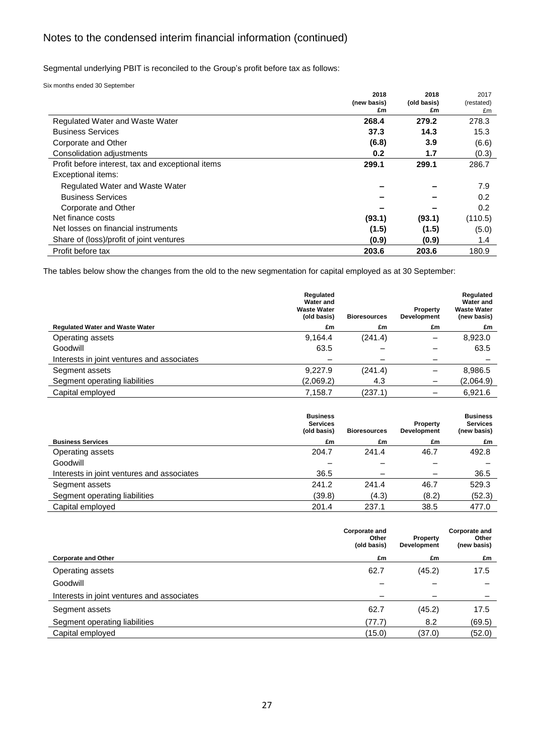Segmental underlying PBIT is reconciled to the Group's profit before tax as follows:

Six months ended 30 September

|                                                   | 2018        | 2018        | 2017       |
|---------------------------------------------------|-------------|-------------|------------|
|                                                   | (new basis) | (old basis) | (restated) |
|                                                   | £m          | £m          | £m         |
| Regulated Water and Waste Water                   | 268.4       | 279.2       | 278.3      |
| <b>Business Services</b>                          | 37.3        | 14.3        | 15.3       |
| Corporate and Other                               | (6.8)       | 3.9         | (6.6)      |
| Consolidation adjustments                         | 0.2         | 1.7         | (0.3)      |
| Profit before interest, tax and exceptional items | 299.1       | 299.1       | 286.7      |
| Exceptional items:                                |             |             |            |
| Regulated Water and Waste Water                   |             |             | 7.9        |
| <b>Business Services</b>                          |             |             | 0.2        |
| Corporate and Other                               |             |             | 0.2        |
| Net finance costs                                 | (93.1)      | (93.1)      | (110.5)    |
| Net losses on financial instruments               | (1.5)       | (1.5)       | (5.0)      |
| Share of (loss)/profit of joint ventures          | (0.9)       | (0.9)       | 1.4        |
| Profit before tax                                 | 203.6       | 203.6       | 180.9      |

The tables below show the changes from the old to the new segmentation for capital employed as at 30 September:

| Regulated<br>Water and<br><b>Waste Water</b><br>(old basis) | <b>Bioresources</b> | Property<br>Development | Regulated<br><b>Water and</b><br><b>Waste Water</b><br>(new basis) |
|-------------------------------------------------------------|---------------------|-------------------------|--------------------------------------------------------------------|
| £m                                                          | £m                  | £m                      | £m                                                                 |
| 9,164.4                                                     | (241.4)             | -                       | 8,923.0                                                            |
| 63.5                                                        |                     | -                       | 63.5                                                               |
|                                                             | –                   |                         |                                                                    |
| 9.227.9                                                     | (241.4)             |                         | 8,986.5                                                            |
| (2,069.2)                                                   | 4.3                 |                         | (2,064.9)                                                          |
| 7,158.7                                                     | (237.1)             |                         | 6,921.6                                                            |
|                                                             |                     |                         |                                                                    |

|                                            | <b>Business</b><br><b>Services</b><br>(old basis) | <b>Bioresources</b> | Property<br>Development | <b>Business</b><br><b>Services</b><br>(new basis) |
|--------------------------------------------|---------------------------------------------------|---------------------|-------------------------|---------------------------------------------------|
| <b>Business Services</b>                   | £m                                                | £m                  | £m                      | £m                                                |
| Operating assets                           | 204.7                                             | 241.4               | 46.7                    | 492.8                                             |
| Goodwill                                   |                                                   |                     |                         |                                                   |
| Interests in joint ventures and associates | 36.5                                              |                     | -                       | 36.5                                              |
| Segment assets                             | 241.2                                             | 241.4               | 46.7                    | 529.3                                             |
| Segment operating liabilities              | (39.8)                                            | (4.3)               | (8.2)                   | (52.3)                                            |
| Capital employed                           | 201.4                                             | 237.1               | 38.5                    | 477.0                                             |

| Corporate and<br><b>Corporate and</b><br>Other<br>Property<br>(old basis)<br>Development | Other<br>(new basis) |
|------------------------------------------------------------------------------------------|----------------------|
| <b>Corporate and Other</b><br>£m<br>£m                                                   | £m                   |
| (45.2)<br>62.7<br>Operating assets                                                       | 17.5                 |
| Goodwill                                                                                 |                      |
| Interests in joint ventures and associates<br>-                                          |                      |
| (45.2)<br>62.7<br>Segment assets                                                         | 17.5                 |
| 8.2<br>(77.7)<br>Segment operating liabilities                                           | (69.5)               |
| (37.0)<br>Capital employed<br>(15.0)                                                     | (52.0)               |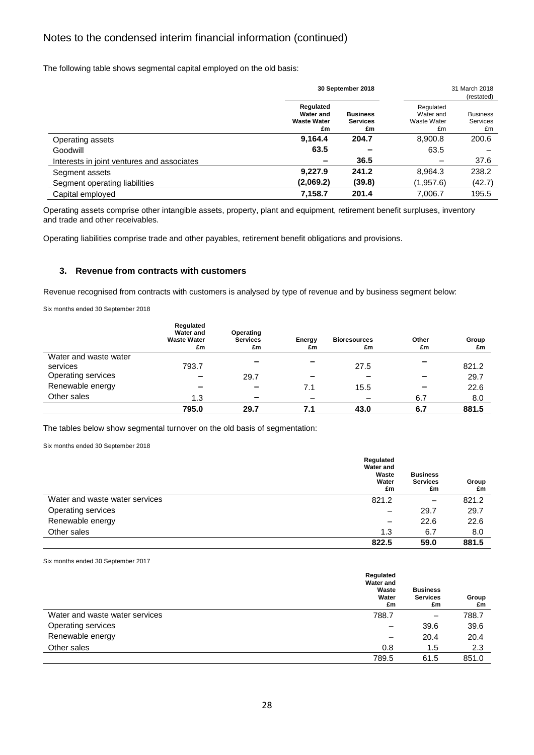The following table shows segmental capital employed on the old basis:

|                                            | 30 September 2018                                  |                                          |                                             | 31 March 2018<br>(restated)              |
|--------------------------------------------|----------------------------------------------------|------------------------------------------|---------------------------------------------|------------------------------------------|
|                                            | Regulated<br>Water and<br><b>Waste Water</b><br>£m | <b>Business</b><br><b>Services</b><br>£m | Regulated<br>Water and<br>Waste Water<br>£m | <b>Business</b><br><b>Services</b><br>£m |
| Operating assets                           | 9,164.4                                            | 204.7                                    | 8,900.8                                     | 200.6                                    |
| Goodwill                                   | 63.5                                               |                                          | 63.5                                        |                                          |
| Interests in joint ventures and associates | -                                                  | 36.5                                     |                                             | 37.6                                     |
| Segment assets                             | 9.227.9                                            | 241.2                                    | 8,964.3                                     | 238.2                                    |
| Segment operating liabilities              | (2,069.2)                                          | (39.8)                                   | (1,957.6)                                   | (42.7)                                   |
| Capital employed                           | 7,158.7                                            | 201.4                                    | 7.006.7                                     | 195.5                                    |

Operating assets comprise other intangible assets, property, plant and equipment, retirement benefit surpluses, inventory and trade and other receivables.

Operating liabilities comprise trade and other payables, retirement benefit obligations and provisions.

### **3. Revenue from contracts with customers**

Revenue recognised from contracts with customers is analysed by type of revenue and by business segment below:

Six months ended 30 September 2018

|                       | Regulated<br><b>Water and</b><br><b>Waste Water</b><br>£m | Operating<br><b>Services</b><br>£m | Energy<br>£m | <b>Bioresources</b><br>£m | Other<br>£m | Group<br>£m |
|-----------------------|-----------------------------------------------------------|------------------------------------|--------------|---------------------------|-------------|-------------|
| Water and waste water | 793.7                                                     |                                    |              |                           |             |             |
| services              |                                                           |                                    |              | 27.5                      |             | 821.2       |
| Operating services    | $\overline{\phantom{a}}$                                  | 29.7                               |              | $\sim$                    |             | 29.7        |
| Renewable energy      |                                                           | $\overline{\phantom{a}}$           | 7.1          | 15.5                      |             | 22.6        |
| Other sales           | 1.3                                                       | $\overline{\phantom{a}}$           |              |                           | 6.7         | 8.0         |
|                       | 795.0                                                     | 29.7                               | 7.1          | 43.0                      | 6.7         | 881.5       |

The tables below show segmental turnover on the old basis of segmentation:

Six months ended 30 September 2018

|                                | Regulated<br><b>Water and</b><br>Waste<br>Water<br>£m | <b>Business</b><br><b>Services</b><br>£m | Group<br>£m |
|--------------------------------|-------------------------------------------------------|------------------------------------------|-------------|
| Water and waste water services | 821.2                                                 |                                          | 821.2       |
| Operating services             | $\overline{\phantom{m}}$                              | 29.7                                     | 29.7        |
| Renewable energy               | -                                                     | 22.6                                     | 22.6        |
| Other sales                    | 1.3                                                   | 6.7                                      | 8.0         |
|                                | 822.5                                                 | 59.0                                     | 881.5       |

Six months ended 30 September 2017

|                                | Regulated<br><b>Water and</b><br>Waste<br>Water<br>£m | <b>Business</b><br><b>Services</b><br>£m | Group<br>£m |
|--------------------------------|-------------------------------------------------------|------------------------------------------|-------------|
| Water and waste water services | 788.7                                                 |                                          | 788.7       |
| Operating services             | $\overline{\phantom{m}}$                              | 39.6                                     | 39.6        |
| Renewable energy               | -                                                     | 20.4                                     | 20.4        |
| Other sales                    | 0.8                                                   | 1.5                                      | 2.3         |
|                                | 789.5                                                 | 61.5                                     | 851.0       |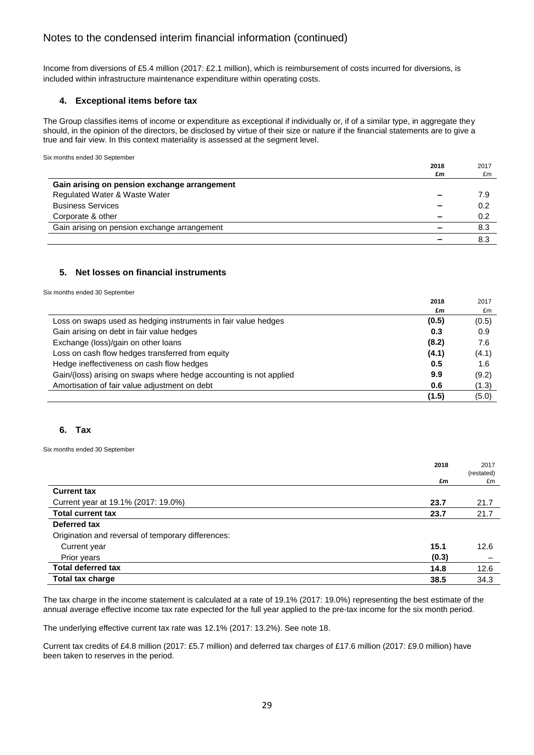Income from diversions of £5.4 million (2017: £2.1 million), which is reimbursement of costs incurred for diversions, is included within infrastructure maintenance expenditure within operating costs.

### **4. Exceptional items before tax**

The Group classifies items of income or expenditure as exceptional if individually or, if of a similar type, in aggregate they should, in the opinion of the directors, be disclosed by virtue of their size or nature if the financial statements are to give a true and fair view. In this context materiality is assessed at the segment level.

|                                              | 2018<br>£m | 2017<br>£m |
|----------------------------------------------|------------|------------|
| Gain arising on pension exchange arrangement |            |            |
| Regulated Water & Waste Water                |            | 7.9        |
| <b>Business Services</b>                     |            | 0.2        |
| Corporate & other                            | -          | 0.2        |
| Gain arising on pension exchange arrangement |            | 8.3        |
|                                              |            | 8.3        |

### **5. Net losses on financial instruments**

Six months ended 30 September

Six months ended 30 September

|                                                                    | 2018  | 2017  |
|--------------------------------------------------------------------|-------|-------|
|                                                                    | £m    | £m    |
| Loss on swaps used as hedging instruments in fair value hedges     | (0.5) | (0.5) |
| Gain arising on debt in fair value hedges                          | 0.3   | 0.9   |
| Exchange (loss)/gain on other loans                                | (8.2) | 7.6   |
| Loss on cash flow hedges transferred from equity                   | (4.1) | (4.1) |
| Hedge ineffectiveness on cash flow hedges                          | 0.5   | 1.6   |
| Gain/(loss) arising on swaps where hedge accounting is not applied | 9.9   | (9.2) |
| Amortisation of fair value adjustment on debt                      | 0.6   | (1.3) |
|                                                                    | (1.5) | (5.0) |

### **6. Tax**

Six months ended 30 September

| 2018                                               | 2017<br>(restated) |
|----------------------------------------------------|--------------------|
| £m                                                 | £m                 |
| <b>Current tax</b>                                 |                    |
| Current year at 19.1% (2017: 19.0%)<br>23.7        | 21.7               |
| <b>Total current tax</b><br>23.7                   | 21.7               |
| Deferred tax                                       |                    |
| Origination and reversal of temporary differences: |                    |
| 15.1<br>Current year                               | 12.6               |
| (0.3)<br>Prior years                               |                    |
| <b>Total deferred tax</b><br>14.8                  | 12.6               |
| <b>Total tax charge</b><br>38.5                    | 34.3               |

The tax charge in the income statement is calculated at a rate of 19.1% (2017: 19.0%) representing the best estimate of the annual average effective income tax rate expected for the full year applied to the pre-tax income for the six month period.

The underlying effective current tax rate was 12.1% (2017: 13.2%). See note 18.

Current tax credits of £4.8 million (2017: £5.7 million) and deferred tax charges of £17.6 million (2017: £9.0 million) have been taken to reserves in the period.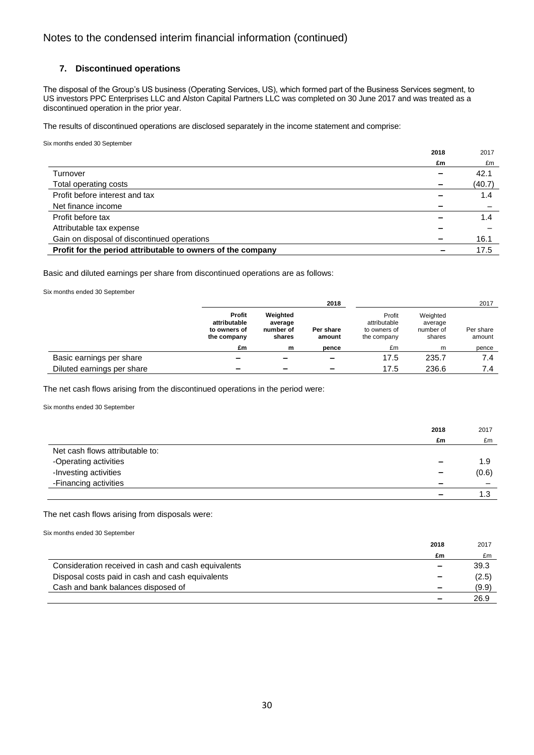### **7. Discontinued operations**

The disposal of the Group's US business (Operating Services, US), which formed part of the Business Services segment, to US investors PPC Enterprises LLC and Alston Capital Partners LLC was completed on 30 June 2017 and was treated as a discontinued operation in the prior year.

The results of discontinued operations are disclosed separately in the income statement and comprise:

Six months ended 30 September

|                                                             | 2018 | 2017   |
|-------------------------------------------------------------|------|--------|
|                                                             | £m   | £m     |
| Turnover                                                    |      | 42.1   |
| Total operating costs                                       |      | (40.7) |
| Profit before interest and tax                              |      | 1.4    |
| Net finance income                                          |      |        |
| Profit before tax                                           |      | 1.4    |
| Attributable tax expense                                    |      |        |
| Gain on disposal of discontinued operations                 |      | 16.1   |
| Profit for the period attributable to owners of the company |      | 17.5   |

Basic and diluted earnings per share from discontinued operations are as follows:

Six months ended 30 September

|                            |                                                       |                                            | 2018                     |                                                       |                                            | 2017                |
|----------------------------|-------------------------------------------------------|--------------------------------------------|--------------------------|-------------------------------------------------------|--------------------------------------------|---------------------|
|                            | Profit<br>attributable<br>to owners of<br>the company | Weighted<br>average<br>number of<br>shares | Per share<br>amount      | Profit<br>attributable<br>to owners of<br>the company | Weighted<br>average<br>number of<br>shares | Per share<br>amount |
|                            | £m                                                    | m                                          | pence                    | £m                                                    | m                                          | pence               |
| Basic earnings per share   |                                                       |                                            | $\overline{\phantom{a}}$ | 17.5                                                  | 235.7                                      | 7.4                 |
| Diluted earnings per share |                                                       | $\overline{\phantom{a}}$                   | -                        | 17.5                                                  | 236.6                                      | 7.4                 |

The net cash flows arising from the discontinued operations in the period were:

Six months ended 30 September

|                                 | 2018                     | 2017  |
|---------------------------------|--------------------------|-------|
|                                 | £m                       | £m    |
| Net cash flows attributable to: |                          |       |
| -Operating activities           | -                        | 1.9   |
| -Investing activities           | $\overline{\phantom{a}}$ | (0.6) |
| -Financing activities           |                          |       |
|                                 |                          | 1 ว   |

The net cash flows arising from disposals were:

Six months ended 30 September

|                                                     | 2018                     | 2017  |
|-----------------------------------------------------|--------------------------|-------|
|                                                     | £m                       | £m    |
| Consideration received in cash and cash equivalents | $\overline{\phantom{a}}$ | 39.3  |
| Disposal costs paid in cash and cash equivalents    |                          | (2.5) |
| Cash and bank balances disposed of                  | $\overline{\phantom{a}}$ | (9.9) |
|                                                     |                          | 26.9  |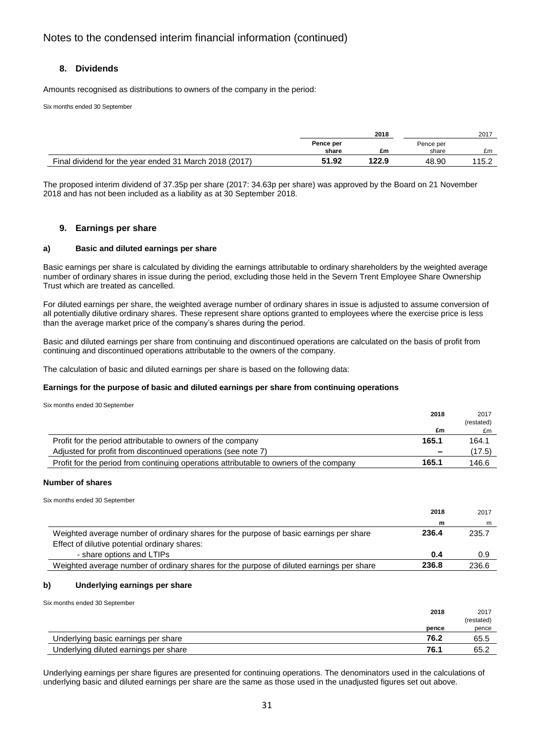### **8. Dividends**

Amounts recognised as distributions to owners of the company in the period:

Six months ended 30 September

|                                                        | 2018               |       |                    |       |  | 2017 |
|--------------------------------------------------------|--------------------|-------|--------------------|-------|--|------|
|                                                        | Pence per<br>share | £m    | Pence per<br>share | £m    |  |      |
| Final dividend for the year ended 31 March 2018 (2017) | 51.92              | 122.9 | 48.90              | 115.2 |  |      |

The proposed interim dividend of 37.35p per share (2017: 34.63p per share) was approved by the Board on 21 November 2018 and has not been included as a liability as at 30 September 2018.

### **9. Earnings per share**

### **a) Basic and diluted earnings per share**

Basic earnings per share is calculated by dividing the earnings attributable to ordinary shareholders by the weighted average number of ordinary shares in issue during the period, excluding those held in the Severn Trent Employee Share Ownership Trust which are treated as cancelled.

For diluted earnings per share, the weighted average number of ordinary shares in issue is adjusted to assume conversion of all potentially dilutive ordinary shares. These represent share options granted to employees where the exercise price is less than the average market price of the company's shares during the period.

Basic and diluted earnings per share from continuing and discontinued operations are calculated on the basis of profit from continuing and discontinued operations attributable to the owners of the company.

The calculation of basic and diluted earnings per share is based on the following data:

### **Earnings for the purpose of basic and diluted earnings per share from continuing operations**

Six months ended 30 September

|                                                                                        | 2018  | 2017       |
|----------------------------------------------------------------------------------------|-------|------------|
|                                                                                        |       | (restated) |
|                                                                                        | £m    | £m         |
| Profit for the period attributable to owners of the company                            | 165.1 | 164.1      |
| Adjusted for profit from discontinued operations (see note 7)                          |       | (17.5)     |
| Profit for the period from continuing operations attributable to owners of the company | 165.1 | 146.6      |

#### **Number of shares**

Six months ended 30 September

|                                                                                          | 2018  | 2017  |
|------------------------------------------------------------------------------------------|-------|-------|
|                                                                                          | m     | m     |
| Weighted average number of ordinary shares for the purpose of basic earnings per share   | 236.4 | 235.7 |
| Effect of dilutive potential ordinary shares:                                            |       |       |
| - share options and LTIPs                                                                | 0.4   | 0.9   |
| Weighted average number of ordinary shares for the purpose of diluted earnings per share | 236.8 | 236.6 |

### **b) Underlying earnings per share**

Six months ended 30 September

|                                       | 2018  | 2017      |
|---------------------------------------|-------|-----------|
|                                       |       | (restated |
|                                       | pence | pence     |
| Underlying basic earnings per share   | 76.2  | 65.5      |
| Underlying diluted earnings per share | 76.1  | 65.2      |

Underlying earnings per share figures are presented for continuing operations. The denominators used in the calculations of underlying basic and diluted earnings per share are the same as those used in the unadjusted figures set out above.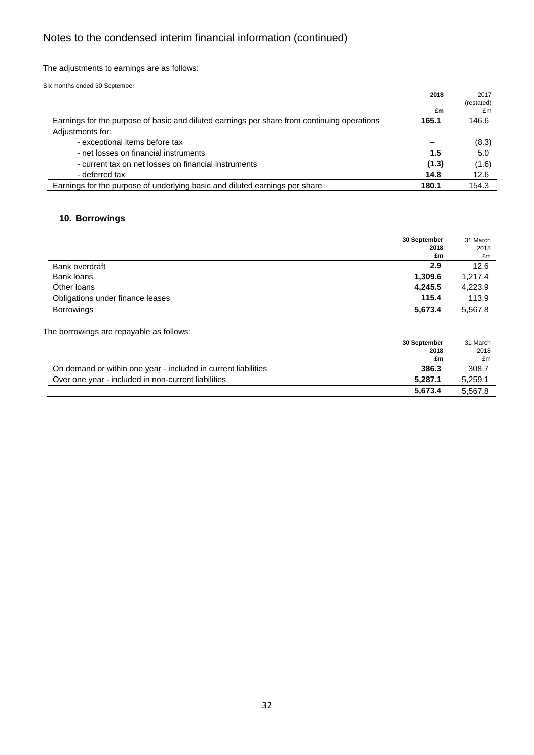The adjustments to earnings are as follows:

Six months ended 30 September

| 2018  | 2017           |
|-------|----------------|
|       | (restated)     |
| £m    | £m             |
|       | 146.6          |
|       |                |
|       | (8.3)          |
| 1.5   | 5.0            |
| (1.3) | (1.6)          |
| 14.8  | 12.6           |
|       | 154.3          |
|       | 165.1<br>180.1 |

## **10. Borrowings**

|                                  | 30 September<br>2018 | 31 March<br>2018 |
|----------------------------------|----------------------|------------------|
|                                  | £m                   | £m               |
| Bank overdraft                   | 2.9                  | 12.6             |
| Bank loans                       | 1,309.6              | 1,217.4          |
| Other loans                      | 4,245.5              | 4,223.9          |
| Obligations under finance leases | 115.4                | 113.9            |
| <b>Borrowings</b>                | 5,673.4              | 5.567.8          |

The borrowings are repayable as follows:

| 30 September                                                            | 31 March |
|-------------------------------------------------------------------------|----------|
| 2018                                                                    | 2018     |
|                                                                         | £m<br>£m |
| 386.3<br>On demand or within one year - included in current liabilities | 308.7    |
| 5.287.1<br>Over one year - included in non-current liabilities          | 5,259.1  |
| 5.673.4                                                                 | 5.567.8  |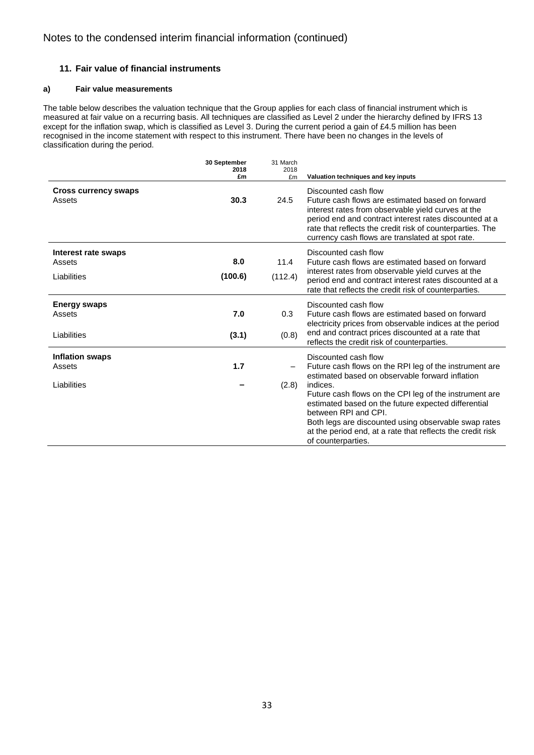### **11. Fair value of financial instruments**

### **a) Fair value measurements**

The table below describes the valuation technique that the Group applies for each class of financial instrument which is measured at fair value on a recurring basis. All techniques are classified as Level 2 under the hierarchy defined by IFRS 13 except for the inflation swap, which is classified as Level 3. During the current period a gain of £4.5 million has been recognised in the income statement with respect to this instrument. There have been no changes in the levels of classification during the period.

|                                                 | 30 September<br>2018<br>£m | 31 March<br>2018<br>£m |                                                                                                                                                                                                                                                                                                                                                                                                                                    |
|-------------------------------------------------|----------------------------|------------------------|------------------------------------------------------------------------------------------------------------------------------------------------------------------------------------------------------------------------------------------------------------------------------------------------------------------------------------------------------------------------------------------------------------------------------------|
| <b>Cross currency swaps</b><br>Assets           | 30.3                       | 24.5                   | Valuation techniques and key inputs<br>Discounted cash flow<br>Future cash flows are estimated based on forward<br>interest rates from observable yield curves at the<br>period end and contract interest rates discounted at a<br>rate that reflects the credit risk of counterparties. The<br>currency cash flows are translated at spot rate.                                                                                   |
| Interest rate swaps<br>Assets<br>Liabilities    | 8.0<br>(100.6)             | 11.4<br>(112.4)        | Discounted cash flow<br>Future cash flows are estimated based on forward<br>interest rates from observable yield curves at the<br>period end and contract interest rates discounted at a<br>rate that reflects the credit risk of counterparties.                                                                                                                                                                                  |
| <b>Energy swaps</b><br>Assets<br>Liabilities    | 7.0<br>(3.1)               | 0.3<br>(0.8)           | Discounted cash flow<br>Future cash flows are estimated based on forward<br>electricity prices from observable indices at the period<br>end and contract prices discounted at a rate that<br>reflects the credit risk of counterparties.                                                                                                                                                                                           |
| <b>Inflation swaps</b><br>Assets<br>Liabilities | 1.7                        | (2.8)                  | Discounted cash flow<br>Future cash flows on the RPI leg of the instrument are<br>estimated based on observable forward inflation<br>indices.<br>Future cash flows on the CPI leg of the instrument are<br>estimated based on the future expected differential<br>between RPI and CPI.<br>Both legs are discounted using observable swap rates<br>at the period end, at a rate that reflects the credit risk<br>of counterparties. |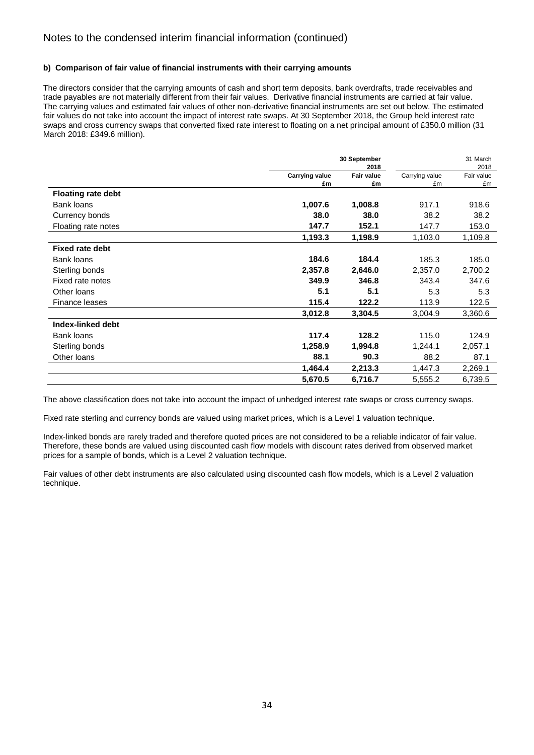### **b) Comparison of fair value of financial instruments with their carrying amounts**

The directors consider that the carrying amounts of cash and short term deposits, bank overdrafts, trade receivables and trade payables are not materially different from their fair values. Derivative financial instruments are carried at fair value. The carrying values and estimated fair values of other non-derivative financial instruments are set out below. The estimated fair values do not take into account the impact of interest rate swaps. At 30 September 2018, the Group held interest rate swaps and cross currency swaps that converted fixed rate interest to floating on a net principal amount of £350.0 million (31 March 2018: £349.6 million).

|                           |                       | 30 September<br>2018 |                | 31 March<br>2018 |
|---------------------------|-----------------------|----------------------|----------------|------------------|
|                           | <b>Carrying value</b> | <b>Fair value</b>    | Carrying value | Fair value       |
|                           | £m                    | £m                   | £m             | £m               |
| <b>Floating rate debt</b> |                       |                      |                |                  |
| <b>Bank loans</b>         | 1,007.6               | 1,008.8              | 917.1          | 918.6            |
| Currency bonds            | 38.0                  | 38.0                 | 38.2           | 38.2             |
| Floating rate notes       | 147.7                 | 152.1                | 147.7          | 153.0            |
|                           | 1,193.3               | 1,198.9              | 1,103.0        | 1,109.8          |
| <b>Fixed rate debt</b>    |                       |                      |                |                  |
| <b>Bank loans</b>         | 184.6                 | 184.4                | 185.3          | 185.0            |
| Sterling bonds            | 2,357.8               | 2,646.0              | 2,357.0        | 2,700.2          |
| Fixed rate notes          | 349.9                 | 346.8                | 343.4          | 347.6            |
| Other Ioans               | 5.1                   | 5.1                  | 5.3            | 5.3              |
| Finance leases            | 115.4                 | 122.2                | 113.9          | 122.5            |
|                           | 3,012.8               | 3,304.5              | 3,004.9        | 3,360.6          |
| Index-linked debt         |                       |                      |                |                  |
| Bank loans                | 117.4                 | 128.2                | 115.0          | 124.9            |
| Sterling bonds            | 1,258.9               | 1,994.8              | 1,244.1        | 2,057.1          |
| Other Ioans               | 88.1                  | 90.3                 | 88.2           | 87.1             |
|                           | 1,464.4               | 2,213.3              | 1,447.3        | 2,269.1          |
|                           | 5,670.5               | 6,716.7              | 5,555.2        | 6,739.5          |

The above classification does not take into account the impact of unhedged interest rate swaps or cross currency swaps.

Fixed rate sterling and currency bonds are valued using market prices, which is a Level 1 valuation technique.

Index-linked bonds are rarely traded and therefore quoted prices are not considered to be a reliable indicator of fair value. Therefore, these bonds are valued using discounted cash flow models with discount rates derived from observed market prices for a sample of bonds, which is a Level 2 valuation technique.

Fair values of other debt instruments are also calculated using discounted cash flow models, which is a Level 2 valuation technique.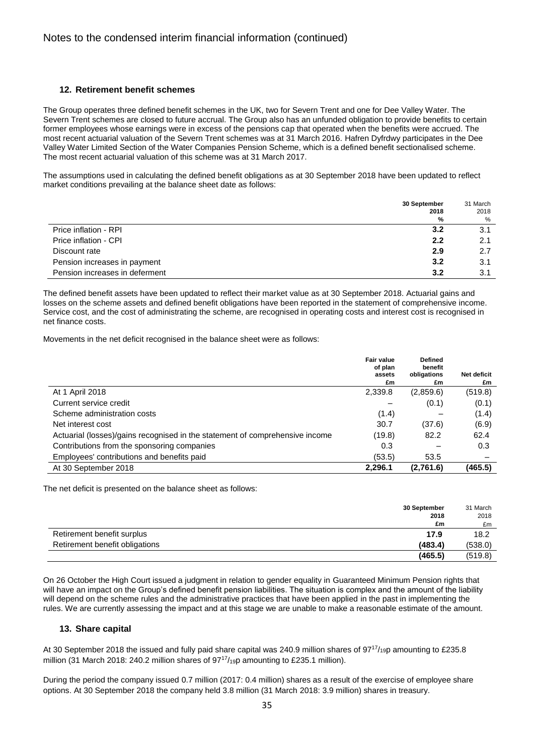### **12. Retirement benefit schemes**

The Group operates three defined benefit schemes in the UK, two for Severn Trent and one for Dee Valley Water. The Severn Trent schemes are closed to future accrual. The Group also has an unfunded obligation to provide benefits to certain former employees whose earnings were in excess of the pensions cap that operated when the benefits were accrued. The most recent actuarial valuation of the Severn Trent schemes was at 31 March 2016. Hafren Dyfrdwy participates in the Dee Valley Water Limited Section of the Water Companies Pension Scheme, which is a defined benefit sectionalised scheme. The most recent actuarial valuation of this scheme was at 31 March 2017.

The assumptions used in calculating the defined benefit obligations as at 30 September 2018 have been updated to reflect market conditions prevailing at the balance sheet date as follows:

|                                | 30 September<br>2018 | 31 March<br>2018 |
|--------------------------------|----------------------|------------------|
|                                | %                    | %                |
| Price inflation - RPI          | 3.2                  | 3.1              |
| Price inflation - CPI          | 2.2                  | 2.1              |
| Discount rate                  | 2.9                  | 2.7              |
| Pension increases in payment   | 3.2                  | 3.1              |
| Pension increases in deferment | 3.2                  | 3.1              |

The defined benefit assets have been updated to reflect their market value as at 30 September 2018. Actuarial gains and losses on the scheme assets and defined benefit obligations have been reported in the statement of comprehensive income. Service cost, and the cost of administrating the scheme, are recognised in operating costs and interest cost is recognised in net finance costs.

Movements in the net deficit recognised in the balance sheet were as follows:

|                                                                              | <b>Fair value</b><br>of plan<br>assets | <b>Defined</b><br>benefit<br>obligations | <b>Net deficit</b> |
|------------------------------------------------------------------------------|----------------------------------------|------------------------------------------|--------------------|
|                                                                              | £m                                     | £m                                       | £m                 |
| At 1 April 2018                                                              | 2,339.8                                | (2,859.6)                                | (519.8)            |
| Current service credit                                                       |                                        | (0.1)                                    | (0.1)              |
| Scheme administration costs                                                  | (1.4)                                  |                                          | (1.4)              |
| Net interest cost                                                            | 30.7                                   | (37.6)                                   | (6.9)              |
| Actuarial (losses)/gains recognised in the statement of comprehensive income | (19.8)                                 | 82.2                                     | 62.4               |
| Contributions from the sponsoring companies                                  | 0.3                                    |                                          | 0.3                |
| Employees' contributions and benefits paid                                   | (53.5)                                 | 53.5                                     |                    |
| At 30 September 2018                                                         | 2.296.1                                | (2,761.6)                                | (465.5)            |

The net deficit is presented on the balance sheet as follows:

|                                | 30 September | 31 March |
|--------------------------------|--------------|----------|
|                                | 2018         | 2018     |
|                                | £m           | £m       |
| Retirement benefit surplus     | 17.9         | 18.2     |
| Retirement benefit obligations | (483.4)      | (538.0)  |
|                                | (465.5)      | (519.8)  |

On 26 October the High Court issued a judgment in relation to gender equality in Guaranteed Minimum Pension rights that will have an impact on the Group's defined benefit pension liabilities. The situation is complex and the amount of the liability will depend on the scheme rules and the administrative practices that have been applied in the past in implementing the rules. We are currently assessing the impact and at this stage we are unable to make a reasonable estimate of the amount.

### **13. Share capital**

At 30 September 2018 the issued and fully paid share capital was 240.9 million shares of 97<sup>17</sup>/<sub>19</sub>p amounting to £235.8 million (31 March 2018: 240.2 million shares of  $97^{17}/_{19}$ p amounting to £235.1 million).

During the period the company issued 0.7 million (2017: 0.4 million) shares as a result of the exercise of employee share options. At 30 September 2018 the company held 3.8 million (31 March 2018: 3.9 million) shares in treasury.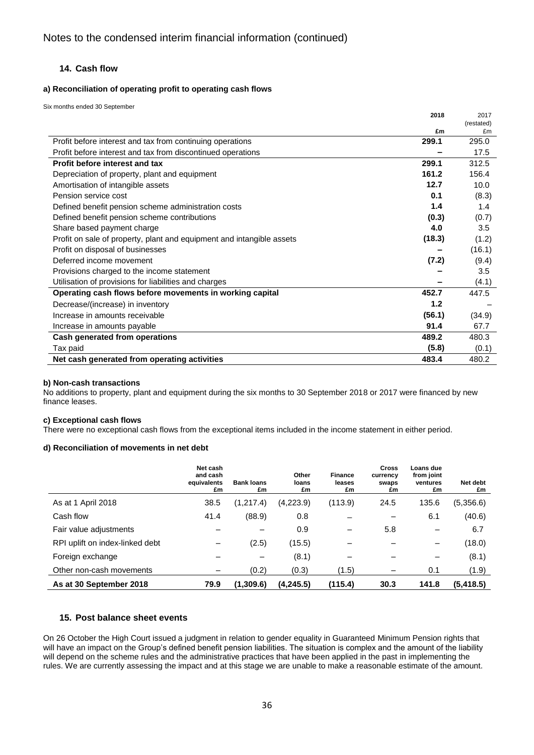### **14. Cash flow**

### **a) Reconciliation of operating profit to operating cash flows**

Six months ended 30 September

|                                                                       | 2018   | 2017       |
|-----------------------------------------------------------------------|--------|------------|
|                                                                       |        | (restated) |
|                                                                       | £m     | £m         |
| Profit before interest and tax from continuing operations             | 299.1  | 295.0      |
| Profit before interest and tax from discontinued operations           |        | 17.5       |
| Profit before interest and tax                                        | 299.1  | 312.5      |
| Depreciation of property, plant and equipment                         | 161.2  | 156.4      |
| Amortisation of intangible assets                                     | 12.7   | 10.0       |
| Pension service cost                                                  | 0.1    | (8.3)      |
| Defined benefit pension scheme administration costs                   | 1.4    | 1.4        |
| Defined benefit pension scheme contributions                          | (0.3)  | (0.7)      |
| Share based payment charge                                            | 4.0    | 3.5        |
| Profit on sale of property, plant and equipment and intangible assets | (18.3) | (1.2)      |
| Profit on disposal of businesses                                      |        | (16.1)     |
| Deferred income movement                                              | (7.2)  | (9.4)      |
| Provisions charged to the income statement                            |        | 3.5        |
| Utilisation of provisions for liabilities and charges                 |        | (4.1)      |
| Operating cash flows before movements in working capital              | 452.7  | 447.5      |
| Decrease/(increase) in inventory                                      | 1.2    |            |
| Increase in amounts receivable                                        | (56.1) | (34.9)     |
| Increase in amounts payable                                           | 91.4   | 67.7       |
| Cash generated from operations                                        | 489.2  | 480.3      |
| Tax paid                                                              | (5.8)  | (0.1)      |
| Net cash generated from operating activities                          | 483.4  | 480.2      |

### **b) Non-cash transactions**

No additions to property, plant and equipment during the six months to 30 September 2018 or 2017 were financed by new finance leases.

### **c) Exceptional cash flows**

There were no exceptional cash flows from the exceptional items included in the income statement in either period.

### **d) Reconciliation of movements in net debt**

|                                 | Net cash<br>and cash<br>equivalents<br>£m | <b>Bank loans</b><br>£m | Other<br>loans<br>£m | <b>Finance</b><br>leases<br>£m | <b>Cross</b><br>currency<br>swaps<br>£m | Loans due<br>from joint<br>ventures<br>£m | Net debt<br>£m |
|---------------------------------|-------------------------------------------|-------------------------|----------------------|--------------------------------|-----------------------------------------|-------------------------------------------|----------------|
| As at 1 April 2018              | 38.5                                      | (1,217.4)               | (4,223.9)            | (113.9)                        | 24.5                                    | 135.6                                     | (5,356.6)      |
| Cash flow                       | 41.4                                      | (88.9)                  | 0.8                  |                                | —                                       | 6.1                                       | (40.6)         |
| Fair value adjustments          |                                           |                         | 0.9                  |                                | 5.8                                     |                                           | 6.7            |
| RPI uplift on index-linked debt |                                           | (2.5)                   | (15.5)               |                                |                                         | —                                         | (18.0)         |
| Foreign exchange                |                                           | -                       | (8.1)                | –                              |                                         |                                           | (8.1)          |
| Other non-cash movements        |                                           | (0.2)                   | (0.3)                | (1.5)                          |                                         | 0.1                                       | (1.9)          |
| As at 30 September 2018         | 79.9                                      | (1,309.6)               | (4,245.5)            | (115.4)                        | 30.3                                    | 141.8                                     | (5, 418.5)     |

### **15. Post balance sheet events**

On 26 October the High Court issued a judgment in relation to gender equality in Guaranteed Minimum Pension rights that will have an impact on the Group's defined benefit pension liabilities. The situation is complex and the amount of the liability will depend on the scheme rules and the administrative practices that have been applied in the past in implementing the rules. We are currently assessing the impact and at this stage we are unable to make a reasonable estimate of the amount.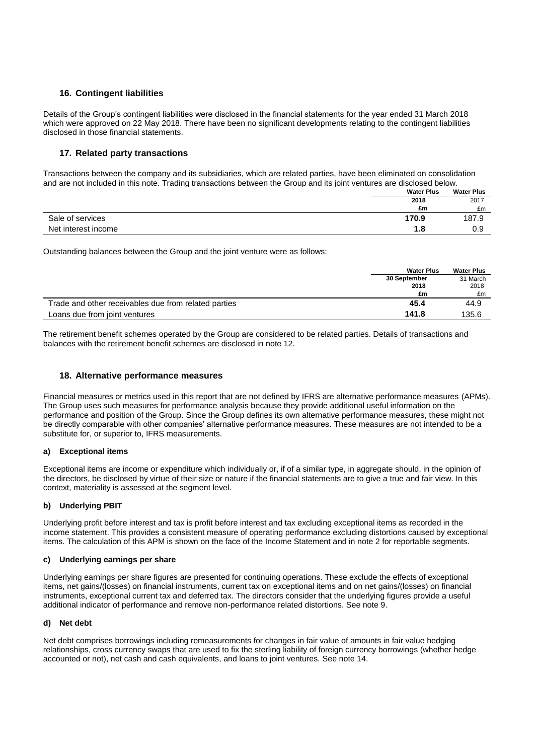### **16. Contingent liabilities**

Details of the Group's contingent liabilities were disclosed in the financial statements for the year ended 31 March 2018 which were approved on 22 May 2018. There have been no significant developments relating to the contingent liabilities disclosed in those financial statements.

### **17. Related party transactions**

Transactions between the company and its subsidiaries, which are related parties, have been eliminated on consolidation and are not included in this note. Trading transactions between the Group and its joint ventures are disclosed below.

|                     | <b>Water Plus</b> | <b>Water Plus</b> |
|---------------------|-------------------|-------------------|
|                     | 2018              | 2017              |
|                     | £m                | £m                |
| Sale of services    | 170.9             | 187.9             |
| Net interest income | 1.8               | 0.9               |

Outstanding balances between the Group and the joint venture were as follows:

|                                                      | <b>Water Plus</b> | <b>Water Plus</b> |
|------------------------------------------------------|-------------------|-------------------|
|                                                      | 30 September      | 31 March          |
|                                                      | 2018              | 2018              |
|                                                      | £m                | £m                |
| Trade and other receivables due from related parties | 45.4              | 44.9              |
| Loans due from joint ventures                        | 141.8             | 135.6             |

The retirement benefit schemes operated by the Group are considered to be related parties. Details of transactions and balances with the retirement benefit schemes are disclosed in note 12.

### **18. Alternative performance measures**

Financial measures or metrics used in this report that are not defined by IFRS are alternative performance measures (APMs). The Group uses such measures for performance analysis because they provide additional useful information on the performance and position of the Group. Since the Group defines its own alternative performance measures, these might not be directly comparable with other companies' alternative performance measures. These measures are not intended to be a substitute for, or superior to, IFRS measurements.

### **a) Exceptional items**

Exceptional items are income or expenditure which individually or, if of a similar type, in aggregate should, in the opinion of the directors, be disclosed by virtue of their size or nature if the financial statements are to give a true and fair view. In this context, materiality is assessed at the segment level.

### **b) Underlying PBIT**

Underlying profit before interest and tax is profit before interest and tax excluding exceptional items as recorded in the income statement. This provides a consistent measure of operating performance excluding distortions caused by exceptional items. The calculation of this APM is shown on the face of the Income Statement and in note 2 for reportable segments.

### **c) Underlying earnings per share**

Underlying earnings per share figures are presented for continuing operations. These exclude the effects of exceptional items, net gains/(losses) on financial instruments, current tax on exceptional items and on net gains/(losses) on financial instruments, exceptional current tax and deferred tax. The directors consider that the underlying figures provide a useful additional indicator of performance and remove non-performance related distortions. See note 9.

### **d) Net debt**

Net debt comprises borrowings including remeasurements for changes in fair value of amounts in fair value hedging relationships, cross currency swaps that are used to fix the sterling liability of foreign currency borrowings (whether hedge accounted or not), net cash and cash equivalents, and loans to joint ventures. See note 14.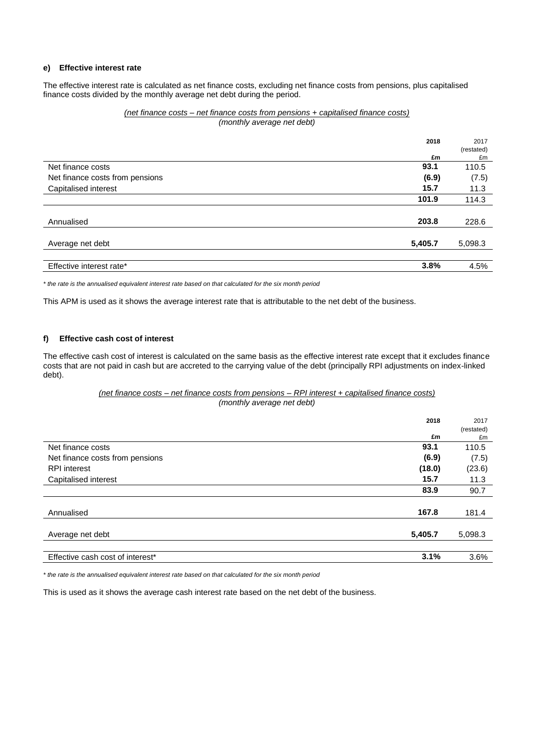#### **e) Effective interest rate**

The effective interest rate is calculated as net finance costs, excluding net finance costs from pensions, plus capitalised finance costs divided by the monthly average net debt during the period.

#### *(net finance costs – net finance costs from pensions + capitalised finance costs) (monthly average net debt)*

|                                 | 2018    | 2017       |
|---------------------------------|---------|------------|
|                                 |         | (restated) |
|                                 | £m      | £m         |
| Net finance costs               | 93.1    | 110.5      |
| Net finance costs from pensions | (6.9)   | (7.5)      |
| Capitalised interest            | 15.7    | 11.3       |
|                                 | 101.9   | 114.3      |
|                                 |         |            |
| Annualised                      | 203.8   | 228.6      |
|                                 |         |            |
| Average net debt                | 5,405.7 | 5,098.3    |
|                                 |         |            |
| Effective interest rate*        | 3.8%    | 4.5%       |

*\* the rate is the annualised equivalent interest rate based on that calculated for the six month period* 

This APM is used as it shows the average interest rate that is attributable to the net debt of the business.

#### **f) Effective cash cost of interest**

The effective cash cost of interest is calculated on the same basis as the effective interest rate except that it excludes finance costs that are not paid in cash but are accreted to the carrying value of the debt (principally RPI adjustments on index-linked debt).

#### *(net finance costs – net finance costs from pensions – RPI interest + capitalised finance costs) (monthly average net debt)*

|                                  | 2018    | 2017<br>(restated) |
|----------------------------------|---------|--------------------|
|                                  | £m      | £m                 |
| Net finance costs                | 93.1    | 110.5              |
| Net finance costs from pensions  | (6.9)   | (7.5)              |
| <b>RPI</b> interest              | (18.0)  | (23.6)             |
| Capitalised interest             | 15.7    | 11.3               |
|                                  | 83.9    | 90.7               |
|                                  |         |                    |
| Annualised                       | 167.8   | 181.4              |
|                                  |         |                    |
| Average net debt                 | 5,405.7 | 5,098.3            |
|                                  |         |                    |
| Effective cash cost of interest* | 3.1%    | 3.6%               |

*\* the rate is the annualised equivalent interest rate based on that calculated for the six month period* 

This is used as it shows the average cash interest rate based on the net debt of the business.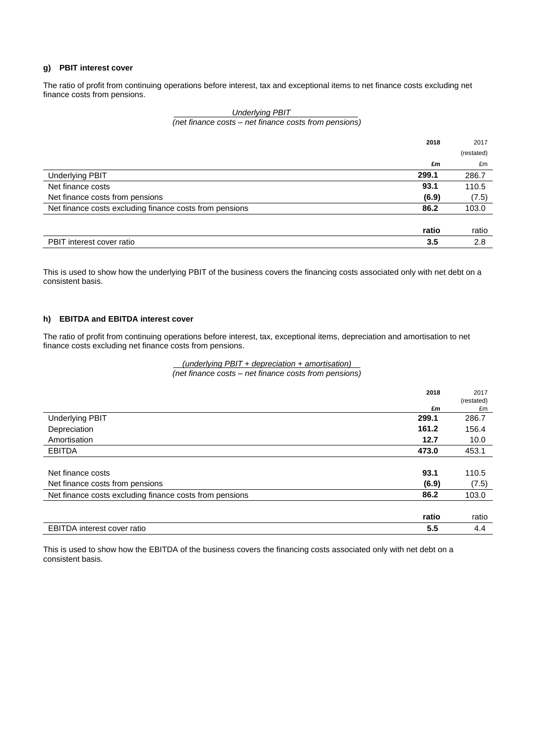### **g) PBIT interest cover**

The ratio of profit from continuing operations before interest, tax and exceptional items to net finance costs excluding net finance costs from pensions.

#### *. Underlying PBIT . (net finance costs – net finance costs from pensions)*

|                                                         | 2018  | 2017       |
|---------------------------------------------------------|-------|------------|
|                                                         |       | (restated) |
|                                                         | £m    | £m         |
| <b>Underlying PBIT</b>                                  | 299.1 | 286.7      |
| Net finance costs                                       | 93.1  | 110.5      |
| Net finance costs from pensions                         | (6.9) | (7.5)      |
| Net finance costs excluding finance costs from pensions | 86.2  | 103.0      |
|                                                         |       |            |
|                                                         | ratio | ratio      |
| PBIT interest cover ratio                               | 3.5   | 2.8        |

This is used to show how the underlying PBIT of the business covers the financing costs associated only with net debt on a consistent basis.

#### **h) EBITDA and EBITDA interest cover**

The ratio of profit from continuing operations before interest, tax, exceptional items, depreciation and amortisation to net finance costs excluding net finance costs from pensions.

#### *. (underlying PBIT + depreciation + amortisation) . (net finance costs – net finance costs from pensions)*

|                                                         | 2018  | 2017       |
|---------------------------------------------------------|-------|------------|
|                                                         |       | (restated) |
|                                                         | £m    | £m         |
| <b>Underlying PBIT</b>                                  | 299.1 | 286.7      |
| Depreciation                                            | 161.2 | 156.4      |
| Amortisation                                            | 12.7  | 10.0       |
| <b>EBITDA</b>                                           | 473.0 | 453.1      |
|                                                         |       |            |
| Net finance costs                                       | 93.1  | 110.5      |
| Net finance costs from pensions                         | (6.9) | (7.5)      |
| Net finance costs excluding finance costs from pensions | 86.2  | 103.0      |
|                                                         |       |            |
|                                                         | ratio | ratio      |
| <b>EBITDA</b> interest cover ratio                      | 5.5   | 4.4        |

This is used to show how the EBITDA of the business covers the financing costs associated only with net debt on a consistent basis.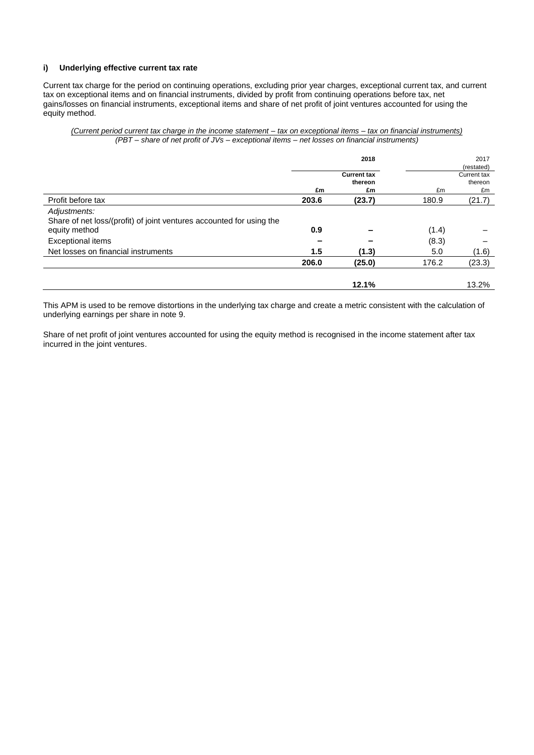### **i) Underlying effective current tax rate**

Current tax charge for the period on continuing operations, excluding prior year charges, exceptional current tax, and current tax on exceptional items and on financial instruments, divided by profit from continuing operations before tax, net gains/losses on financial instruments, exceptional items and share of net profit of joint ventures accounted for using the equity method.

#### *(Current period current tax charge in the income statement – tax on exceptional items – tax on financial instruments) (PBT – share of net profit of JVs – exceptional items – net losses on financial instruments)*

|                                                                                                       | £m    | 2018<br><b>Current tax</b><br>thereon<br>£m | £m    | 2017<br>(restated)<br>Current tax<br>thereon<br>£m |
|-------------------------------------------------------------------------------------------------------|-------|---------------------------------------------|-------|----------------------------------------------------|
| Profit before tax                                                                                     | 203.6 | (23.7)                                      | 180.9 | (21.7)                                             |
| Adjustments:<br>Share of net loss/(profit) of joint ventures accounted for using the<br>equity method | 0.9   |                                             | (1.4) |                                                    |
| Exceptional items                                                                                     |       |                                             | (8.3) |                                                    |
| Net losses on financial instruments                                                                   | 1.5   | (1.3)                                       | 5.0   | (1.6)                                              |
|                                                                                                       | 206.0 | (25.0)                                      | 176.2 | (23.3)                                             |
|                                                                                                       |       | 12.1%                                       |       | 13.2%                                              |

This APM is used to be remove distortions in the underlying tax charge and create a metric consistent with the calculation of underlying earnings per share in note 9.

Share of net profit of joint ventures accounted for using the equity method is recognised in the income statement after tax incurred in the joint ventures.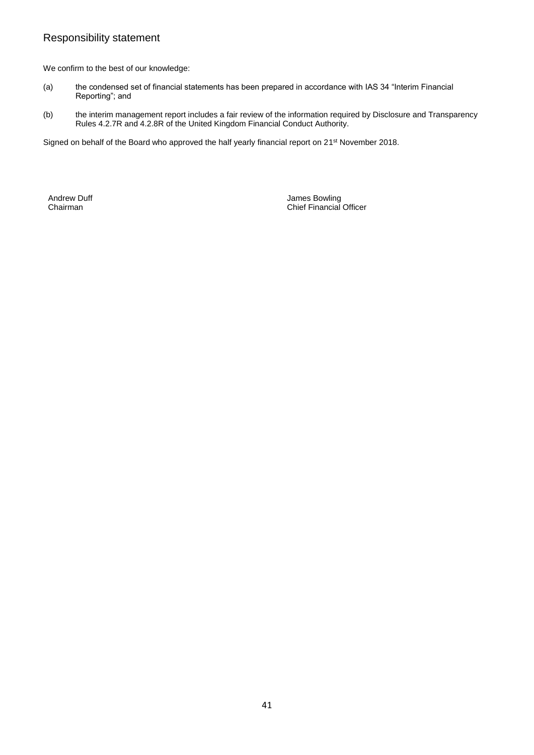## Responsibility statement

We confirm to the best of our knowledge:

- (a) the condensed set of financial statements has been prepared in accordance with IAS 34 "Interim Financial Reporting"; and
- (b) the interim management report includes a fair review of the information required by Disclosure and Transparency Rules 4.2.7R and 4.2.8R of the United Kingdom Financial Conduct Authority.

Signed on behalf of the Board who approved the half yearly financial report on 21<sup>st</sup> November 2018.

Andrew Duff **Andrew Duff Andrew Duff James Bowling**<br>
Chairman **Chairman** Chief Financial Officer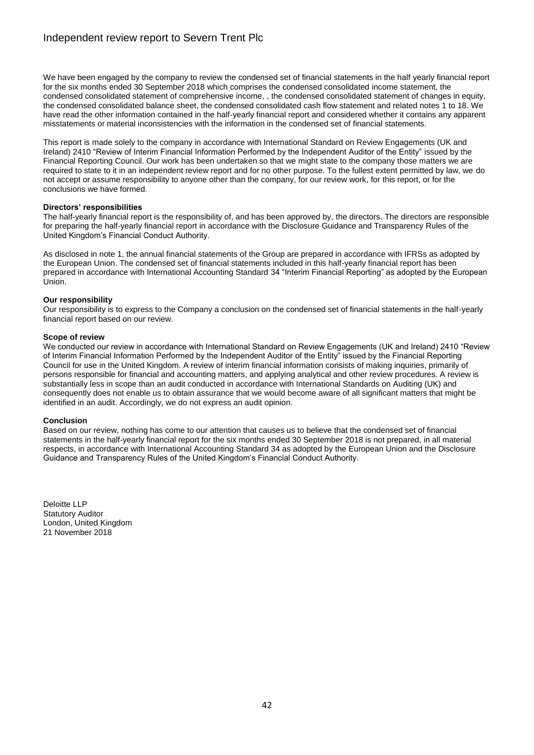We have been engaged by the company to review the condensed set of financial statements in the half yearly financial report for the six months ended 30 September 2018 which comprises the condensed consolidated income statement, the condensed consolidated statement of comprehensive income, , the condensed consolidated statement of changes in equity, the condensed consolidated balance sheet, the condensed consolidated cash flow statement and related notes 1 to 18. We have read the other information contained in the half-yearly financial report and considered whether it contains any apparent misstatements or material inconsistencies with the information in the condensed set of financial statements.

This report is made solely to the company in accordance with International Standard on Review Engagements (UK and Ireland) 2410 "Review of Interim Financial Information Performed by the Independent Auditor of the Entity" issued by the Financial Reporting Council. Our work has been undertaken so that we might state to the company those matters we are required to state to it in an independent review report and for no other purpose. To the fullest extent permitted by law, we do not accept or assume responsibility to anyone other than the company, for our review work, for this report, or for the conclusions we have formed.

#### **Directors' responsibilities**

The half-yearly financial report is the responsibility of, and has been approved by, the directors. The directors are responsible for preparing the half-yearly financial report in accordance with the Disclosure Guidance and Transparency Rules of the United Kingdom's Financial Conduct Authority.

As disclosed in note 1, the annual financial statements of the Group are prepared in accordance with IFRSs as adopted by the European Union. The condensed set of financial statements included in this half-yearly financial report has been prepared in accordance with International Accounting Standard 34 "Interim Financial Reporting" as adopted by the European Union.

#### **Our responsibility**

Our responsibility is to express to the Company a conclusion on the condensed set of financial statements in the half-yearly financial report based on our review.

#### **Scope of review**

We conducted our review in accordance with International Standard on Review Engagements (UK and Ireland) 2410 "Review of Interim Financial Information Performed by the Independent Auditor of the Entity<sup>n</sup> issued by the Financial Reporting Council for use in the United Kingdom. A review of interim financial information consists of making inquiries, primarily of persons responsible for financial and accounting matters, and applying analytical and other review procedures. A review is substantially less in scope than an audit conducted in accordance with International Standards on Auditing (UK) and consequently does not enable us to obtain assurance that we would become aware of all significant matters that might be identified in an audit. Accordingly, we do not express an audit opinion.

#### **Conclusion**

Based on our review, nothing has come to our attention that causes us to believe that the condensed set of financial statements in the half-yearly financial report for the six months ended 30 September 2018 is not prepared, in all material respects, in accordance with International Accounting Standard 34 as adopted by the European Union and the Disclosure Guidance and Transparency Rules of the United Kingdom's Financial Conduct Authority.

Deloitte LLP Statutory Auditor London, United Kingdom 21 November 2018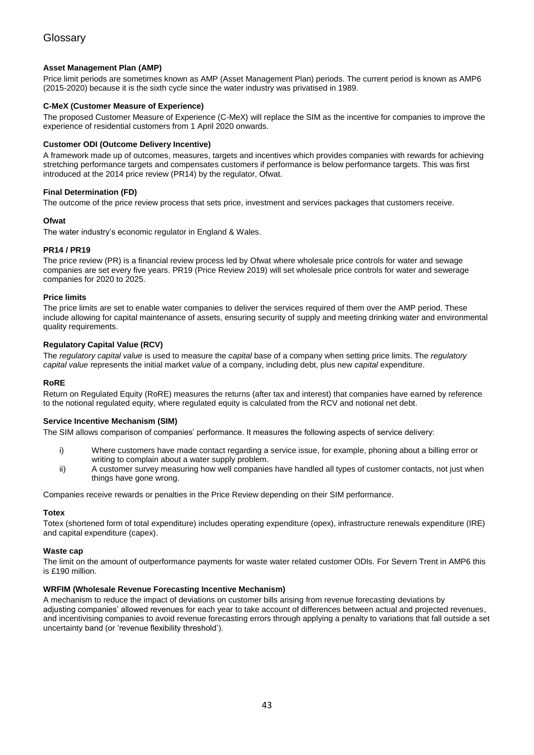### **Asset Management Plan (AMP)**

Price limit periods are sometimes known as AMP (Asset Management Plan) periods. The current period is known as AMP6 (2015-2020) because it is the sixth cycle since the water industry was privatised in 1989.

### **C-MeX (Customer Measure of Experience)**

The proposed Customer Measure of Experience (C-MeX) will replace the SIM as the incentive for companies to improve the experience of residential customers from 1 April 2020 onwards.

#### **Customer ODI (Outcome Delivery Incentive)**

A framework made up of outcomes, measures, targets and incentives which provides companies with rewards for achieving stretching performance targets and compensates customers if performance is below performance targets. This was first introduced at the 2014 price review (PR14) by the regulator, Ofwat.

#### **Final Determination (FD)**

The outcome of the price review process that sets price, investment and services packages that customers receive.

#### **Ofwat**

The water industry's economic regulator in England & Wales.

#### **PR14 / PR19**

The price review (PR) is a financial review process led by Ofwat where wholesale price controls for water and sewage companies are set every five years. PR19 (Price Review 2019) will set wholesale price controls for water and sewerage companies for 2020 to 2025.

#### **Price limits**

The price limits are set to enable water companies to deliver the services required of them over the AMP period. These include allowing for capital maintenance of assets, ensuring security of supply and meeting drinking water and environmental quality requirements.

#### **Regulatory Capital Value (RCV)**

The *regulatory capital value* is used to measure the *capital* base of a company when setting price limits. The *regulatory capital value* represents the initial market *value* of a company, including debt, plus new *capital* expenditure.

#### **RoRE**

Return on Regulated Equity (RoRE) measures the returns (after tax and interest) that companies have earned by reference to the notional regulated equity, where regulated equity is calculated from the RCV and notional net debt.

### **Service Incentive Mechanism (SIM)**

The SIM allows comparison of companies' performance. It measures the following aspects of service delivery:

- i) Where customers have made contact regarding a service issue, for example, phoning about a billing error or writing to complain about a water supply problem.
- ii) A customer survey measuring how well companies have handled all types of customer contacts, not just when things have gone wrong.

Companies receive rewards or penalties in the Price Review depending on their SIM performance.

#### **Totex**

Totex (shortened form of total expenditure) includes operating expenditure (opex), infrastructure renewals expenditure (IRE) and capital expenditure (capex).

#### **Waste cap**

The limit on the amount of outperformance payments for waste water related customer ODIs. For Severn Trent in AMP6 this is £190 million.

#### **WRFIM (Wholesale Revenue Forecasting Incentive Mechanism)**

A mechanism to reduce the impact of deviations on customer bills arising from revenue forecasting deviations by adjusting companies' allowed revenues for each year to take account of differences between actual and projected revenues, and incentivising companies to avoid revenue forecasting errors through applying a penalty to variations that fall outside a set uncertainty band (or 'revenue flexibility threshold').